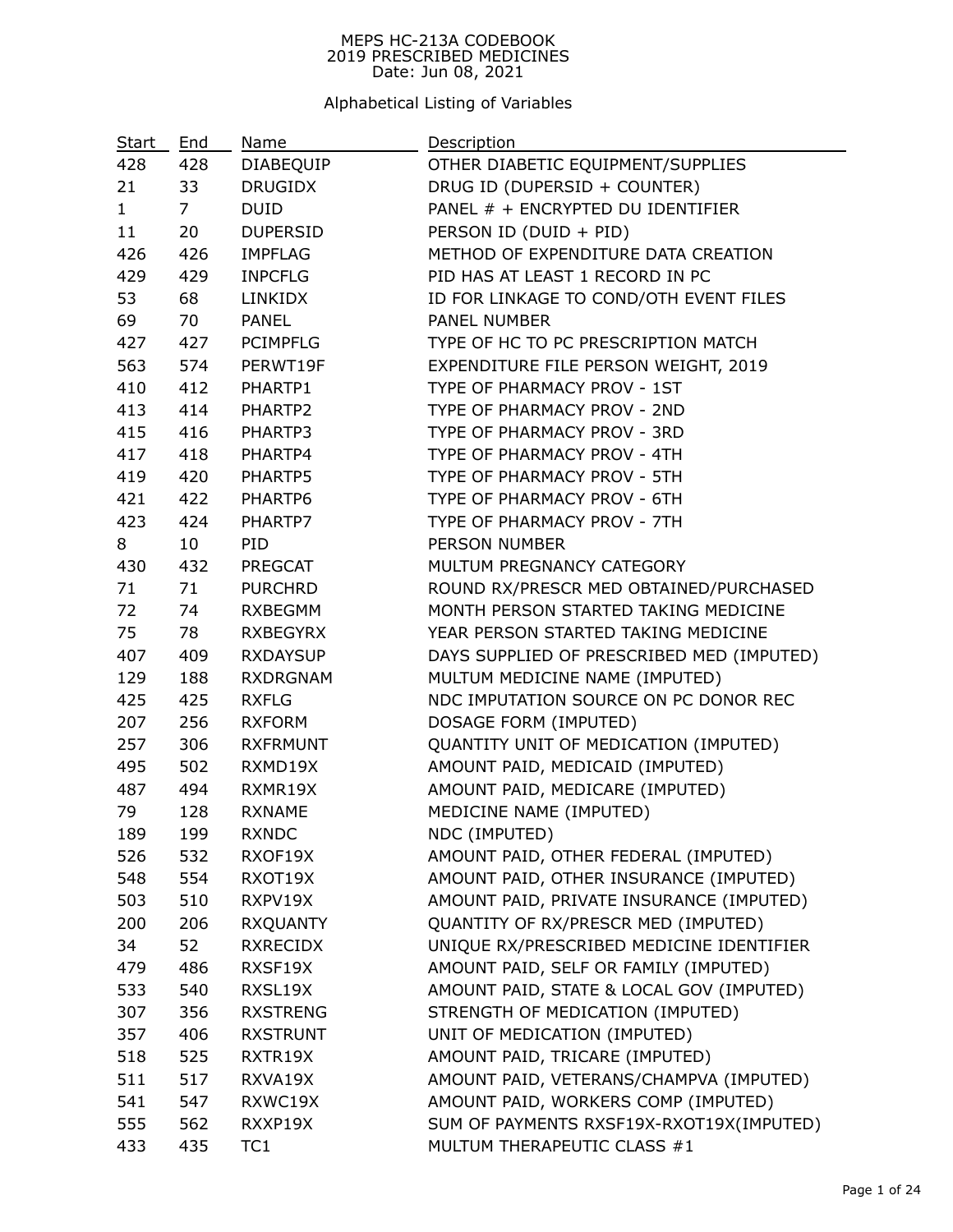## MEPS HC-213A CODEBOOK 2019 PRESCRIBED MEDICINES Date: Jun 08, 2021

Alphabetical Listing of Variables

| Start        | End            | Name             | Description                               |
|--------------|----------------|------------------|-------------------------------------------|
| 428          | 428            | <b>DIABEQUIP</b> | OTHER DIABETIC EQUIPMENT/SUPPLIES         |
| 21           | 33             | <b>DRUGIDX</b>   | DRUG ID (DUPERSID + COUNTER)              |
| $\mathbf{1}$ | 7 <sup>7</sup> | <b>DUID</b>      | PANEL # + ENCRYPTED DU IDENTIFIER         |
| 11           | 20             | <b>DUPERSID</b>  | PERSON ID (DUID + PID)                    |
| 426          | 426            | <b>IMPFLAG</b>   | METHOD OF EXPENDITURE DATA CREATION       |
| 429          | 429            | <b>INPCFLG</b>   | PID HAS AT LEAST 1 RECORD IN PC           |
| 53           | 68             | <b>LINKIDX</b>   | ID FOR LINKAGE TO COND/OTH EVENT FILES    |
| 69           | 70             | <b>PANEL</b>     | PANEL NUMBER                              |
| 427          | 427            | <b>PCIMPFLG</b>  | TYPE OF HC TO PC PRESCRIPTION MATCH       |
| 563          | 574            | PERWT19F         | EXPENDITURE FILE PERSON WEIGHT, 2019      |
| 410          | 412            | PHARTP1          | TYPE OF PHARMACY PROV - 1ST               |
| 413          | 414            | PHARTP2          | TYPE OF PHARMACY PROV - 2ND               |
| 415          | 416            | PHARTP3          | TYPE OF PHARMACY PROV - 3RD               |
| 417          | 418            | PHARTP4          | TYPE OF PHARMACY PROV - 4TH               |
| 419          | 420            | PHARTP5          | TYPE OF PHARMACY PROV - 5TH               |
| 421          | 422            | PHARTP6          | TYPE OF PHARMACY PROV - 6TH               |
| 423          | 424            | PHARTP7          | TYPE OF PHARMACY PROV - 7TH               |
| 8            | 10             | PID              | PERSON NUMBER                             |
| 430          | 432            | PREGCAT          | MULTUM PREGNANCY CATEGORY                 |
| 71           | 71             | <b>PURCHRD</b>   | ROUND RX/PRESCR MED OBTAINED/PURCHASED    |
| 72           | 74             | <b>RXBEGMM</b>   | MONTH PERSON STARTED TAKING MEDICINE      |
| 75           | 78             | RXBEGYRX         | YEAR PERSON STARTED TAKING MEDICINE       |
| 407          | 409            | <b>RXDAYSUP</b>  | DAYS SUPPLIED OF PRESCRIBED MED (IMPUTED) |
| 129          | 188            | <b>RXDRGNAM</b>  | MULTUM MEDICINE NAME (IMPUTED)            |
| 425          | 425            | <b>RXFLG</b>     | NDC IMPUTATION SOURCE ON PC DONOR REC     |
| 207          | 256            | <b>RXFORM</b>    | DOSAGE FORM (IMPUTED)                     |
| 257          | 306            | <b>RXFRMUNT</b>  | QUANTITY UNIT OF MEDICATION (IMPUTED)     |
| 495          | 502            | RXMD19X          | AMOUNT PAID, MEDICAID (IMPUTED)           |
| 487          | 494            | RXMR19X          | AMOUNT PAID, MEDICARE (IMPUTED)           |
| 79           | 128            | <b>RXNAME</b>    | MEDICINE NAME (IMPUTED)                   |
| 189          | 199            | RXNDC            | NDC (IMPUTED)                             |
| 526          | 532            | RXOF19X          | AMOUNT PAID, OTHER FEDERAL (IMPUTED)      |
| 548          | 554            | RXOT19X          | AMOUNT PAID, OTHER INSURANCE (IMPUTED)    |
| 503          | 510            | RXPV19X          | AMOUNT PAID, PRIVATE INSURANCE (IMPUTED)  |
| 200          | 206            | RXQUANTY         | QUANTITY OF RX/PRESCR MED (IMPUTED)       |
| 34           | 52             | <b>RXRECIDX</b>  | UNIQUE RX/PRESCRIBED MEDICINE IDENTIFIER  |
| 479          | 486            | RXSF19X          | AMOUNT PAID, SELF OR FAMILY (IMPUTED)     |
| 533          | 540            | RXSL19X          | AMOUNT PAID, STATE & LOCAL GOV (IMPUTED)  |
| 307          | 356            | <b>RXSTRENG</b>  | STRENGTH OF MEDICATION (IMPUTED)          |
| 357          | 406            | <b>RXSTRUNT</b>  | UNIT OF MEDICATION (IMPUTED)              |
| 518          | 525            | RXTR19X          | AMOUNT PAID, TRICARE (IMPUTED)            |
| 511          | 517            | RXVA19X          | AMOUNT PAID, VETERANS/CHAMPVA (IMPUTED)   |
| 541          | 547            | RXWC19X          | AMOUNT PAID, WORKERS COMP (IMPUTED)       |
| 555          | 562            | RXXP19X          | SUM OF PAYMENTS RXSF19X-RXOT19X(IMPUTED)  |
| 433          | 435            | TC <sub>1</sub>  | MULTUM THERAPEUTIC CLASS #1               |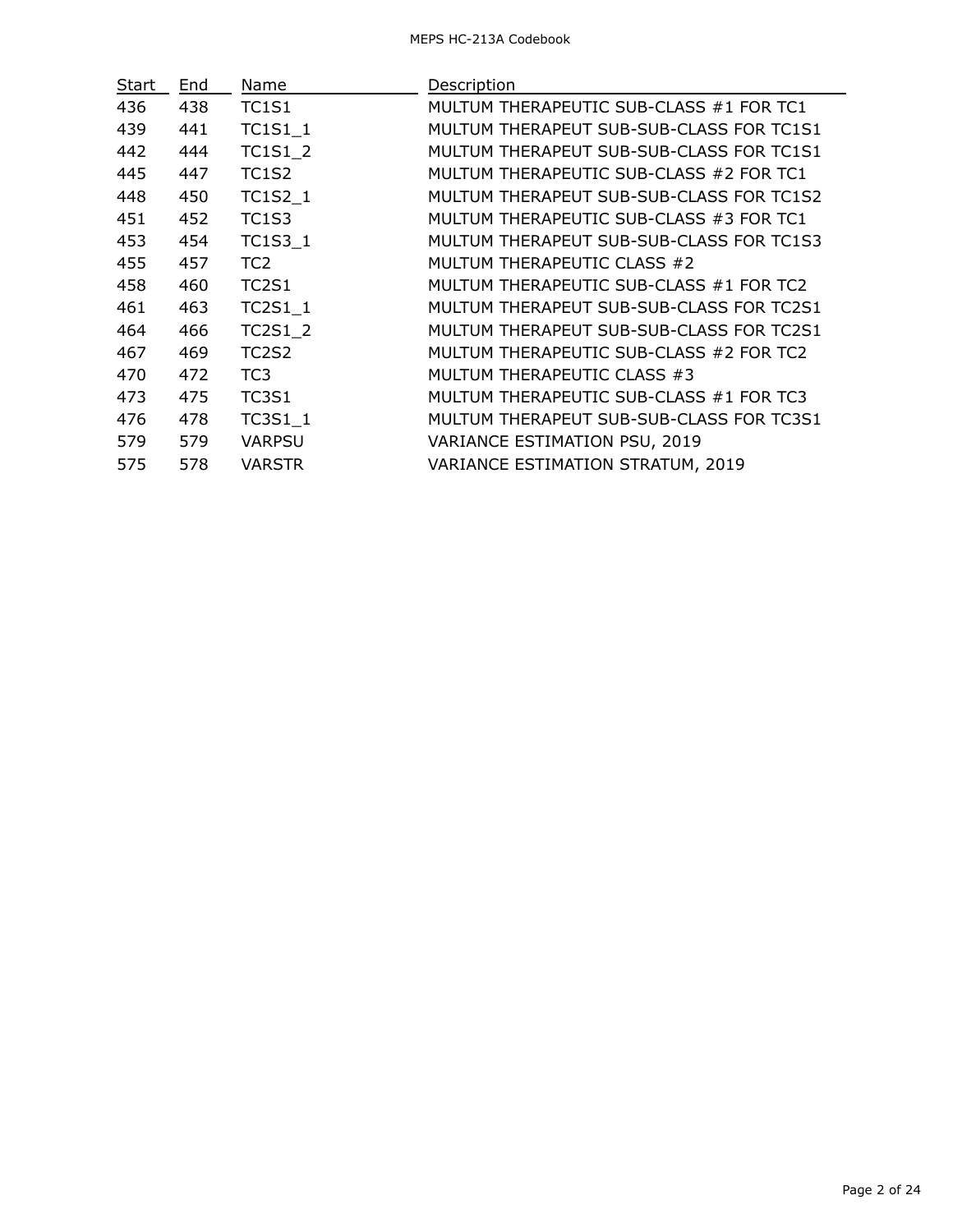| Start | End | Name            | Description                              |
|-------|-----|-----------------|------------------------------------------|
| 436   | 438 | <b>TC1S1</b>    | MULTUM THERAPEUTIC SUB-CLASS #1 FOR TC1  |
| 439   | 441 | TC1S1_1         | MULTUM THERAPEUT SUB-SUB-CLASS FOR TC1S1 |
| 442   | 444 | <b>TC1S1 2</b>  | MULTUM THERAPEUT SUB-SUB-CLASS FOR TC1S1 |
| 445   | 447 | TC1S2           | MULTUM THERAPEUTIC SUB-CLASS #2 FOR TC1  |
| 448   | 450 | <b>TC1S2 1</b>  | MULTUM THERAPEUT SUB-SUB-CLASS FOR TC1S2 |
| 451   | 452 | TC1S3           | MULTUM THERAPEUTIC SUB-CLASS #3 FOR TC1  |
| 453   | 454 | <b>TC1S3 1</b>  | MULTUM THERAPEUT SUB-SUB-CLASS FOR TC1S3 |
| 455   | 457 | TC <sub>2</sub> | MULTUM THERAPEUTIC CLASS #2              |
| 458   | 460 | <b>TC2S1</b>    | MULTUM THERAPEUTIC SUB-CLASS #1 FOR TC2  |
| 461   | 463 | <b>TC2S1 1</b>  | MULTUM THERAPEUT SUB-SUB-CLASS FOR TC2S1 |
| 464   | 466 | <b>TC2S1 2</b>  | MULTUM THERAPEUT SUB-SUB-CLASS FOR TC2S1 |
| 467   | 469 | TC2S2           | MULTUM THERAPEUTIC SUB-CLASS #2 FOR TC2  |
| 470   | 472 | TC <sub>3</sub> | MULTUM THERAPEUTIC CLASS #3              |
| 473   | 475 | <b>TC3S1</b>    | MULTUM THERAPEUTIC SUB-CLASS #1 FOR TC3  |
| 476   | 478 | $TC3S1_1$       | MULTUM THERAPEUT SUB-SUB-CLASS FOR TC3S1 |
| 579   | 579 | <b>VARPSU</b>   | VARIANCE ESTIMATION PSU, 2019            |
| 575   | 578 | <b>VARSTR</b>   | VARIANCE ESTIMATION STRATUM, 2019        |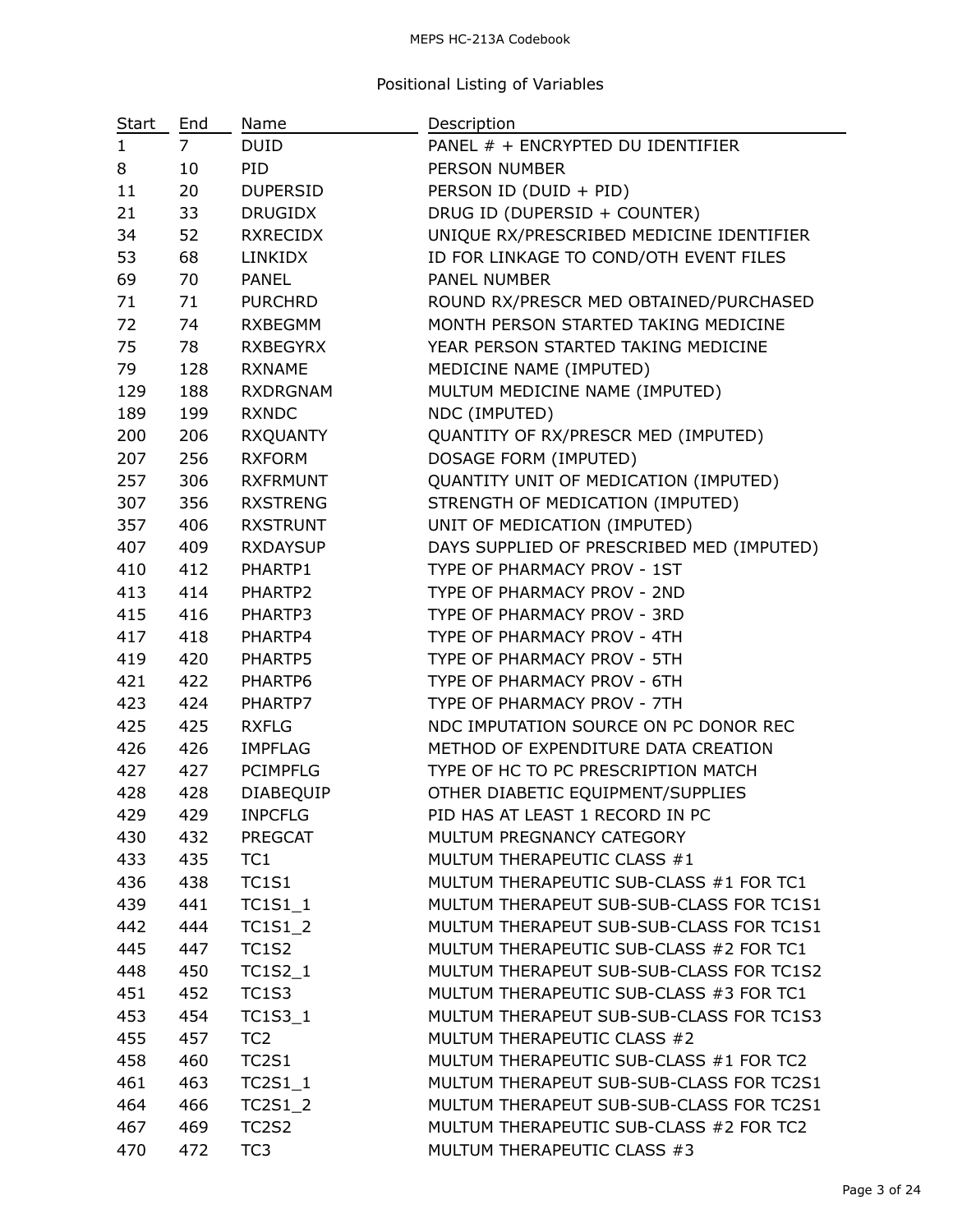## MEPS HC-213A Codebook

## Positional Listing of Variables

| <u>Start</u> | End | <b>Name</b>                    | Description                               |
|--------------|-----|--------------------------------|-------------------------------------------|
| $\mathbf{1}$ | 7   | <b>DUID</b>                    | PANEL # + ENCRYPTED DU IDENTIFIER         |
| 8            | 10  | PID                            | <b>PERSON NUMBER</b>                      |
| 11           | 20  | <b>DUPERSID</b>                | PERSON ID (DUID + PID)                    |
| 21           | 33  | <b>DRUGIDX</b>                 | DRUG ID (DUPERSID + COUNTER)              |
| 34           | 52  | <b>RXRECIDX</b>                | UNIQUE RX/PRESCRIBED MEDICINE IDENTIFIER  |
| 53           | 68  | <b>LINKIDX</b>                 | ID FOR LINKAGE TO COND/OTH EVENT FILES    |
| 69           | 70  | <b>PANEL</b>                   | PANEL NUMBER                              |
| 71           | 71  | <b>PURCHRD</b>                 | ROUND RX/PRESCR MED OBTAINED/PURCHASED    |
| 72           | 74  | <b>RXBEGMM</b>                 | MONTH PERSON STARTED TAKING MEDICINE      |
| 75           | 78  | <b>RXBEGYRX</b>                | YEAR PERSON STARTED TAKING MEDICINE       |
| 79           | 128 | <b>RXNAME</b>                  | MEDICINE NAME (IMPUTED)                   |
| 129          | 188 | <b>RXDRGNAM</b>                | MULTUM MEDICINE NAME (IMPUTED)            |
| 189          | 199 | <b>RXNDC</b>                   | NDC (IMPUTED)                             |
| 200          | 206 | <b>RXQUANTY</b>                | QUANTITY OF RX/PRESCR MED (IMPUTED)       |
| 207          | 256 | <b>RXFORM</b>                  | DOSAGE FORM (IMPUTED)                     |
| 257          | 306 | <b>RXFRMUNT</b>                | QUANTITY UNIT OF MEDICATION (IMPUTED)     |
| 307          | 356 | <b>RXSTRENG</b>                | STRENGTH OF MEDICATION (IMPUTED)          |
| 357          | 406 | <b>RXSTRUNT</b>                | UNIT OF MEDICATION (IMPUTED)              |
| 407          | 409 | <b>RXDAYSUP</b>                | DAYS SUPPLIED OF PRESCRIBED MED (IMPUTED) |
| 410          | 412 | PHARTP1                        | TYPE OF PHARMACY PROV - 1ST               |
| 413          | 414 | PHARTP2                        | TYPE OF PHARMACY PROV - 2ND               |
| 415          | 416 | PHARTP3                        | TYPE OF PHARMACY PROV - 3RD               |
| 417          | 418 | PHARTP4                        | TYPE OF PHARMACY PROV - 4TH               |
| 419          | 420 | PHARTP5                        | TYPE OF PHARMACY PROV - 5TH               |
| 421          | 422 | PHARTP6                        | TYPE OF PHARMACY PROV - 6TH               |
| 423          | 424 | PHARTP7                        | TYPE OF PHARMACY PROV - 7TH               |
| 425          | 425 | <b>RXFLG</b>                   | NDC IMPUTATION SOURCE ON PC DONOR REC     |
| 426          | 426 | <b>IMPFLAG</b>                 | METHOD OF EXPENDITURE DATA CREATION       |
| 427          | 427 | <b>PCIMPFLG</b>                | TYPE OF HC TO PC PRESCRIPTION MATCH       |
| 428          | 428 | DIABEQUIP                      | OTHER DIABETIC EQUIPMENT/SUPPLIES         |
| 429          | 429 | <b>INPCFLG</b>                 | PID HAS AT LEAST 1 RECORD IN PC           |
| 430          | 432 | <b>PREGCAT</b>                 | MULTUM PREGNANCY CATEGORY                 |
| 433          | 435 | TC1                            | MULTUM THERAPEUTIC CLASS #1               |
| 436          | 438 | <b>TC1S1</b>                   | MULTUM THERAPEUTIC SUB-CLASS #1 FOR TC1   |
| 439          | 441 | $TC1S1_1$                      | MULTUM THERAPEUT SUB-SUB-CLASS FOR TC1S1  |
| 442          | 444 | <b>TC1S1 2</b>                 | MULTUM THERAPEUT SUB-SUB-CLASS FOR TC1S1  |
| 445          | 447 | <b>TC1S2</b>                   | MULTUM THERAPEUTIC SUB-CLASS #2 FOR TC1   |
| 448          | 450 | TC1S2_1                        | MULTUM THERAPEUT SUB-SUB-CLASS FOR TC1S2  |
| 451          | 452 | <b>TC1S3</b>                   | MULTUM THERAPEUTIC SUB-CLASS #3 FOR TC1   |
| 453          | 454 | TC1S3_1                        | MULTUM THERAPEUT SUB-SUB-CLASS FOR TC1S3  |
| 455          | 457 | TC <sub>2</sub>                | MULTUM THERAPEUTIC CLASS #2               |
| 458          | 460 | <b>TC2S1</b>                   | MULTUM THERAPEUTIC SUB-CLASS #1 FOR TC2   |
| 461          | 463 | $TC2S1_1$                      | MULTUM THERAPEUT SUB-SUB-CLASS FOR TC2S1  |
| 464          | 466 | <b>TC2S1_2</b>                 | MULTUM THERAPEUT SUB-SUB-CLASS FOR TC2S1  |
| 467          | 469 | TC <sub>2</sub> S <sub>2</sub> | MULTUM THERAPEUTIC SUB-CLASS #2 FOR TC2   |
| 470          | 472 | TC <sub>3</sub>                | MULTUM THERAPEUTIC CLASS #3               |

—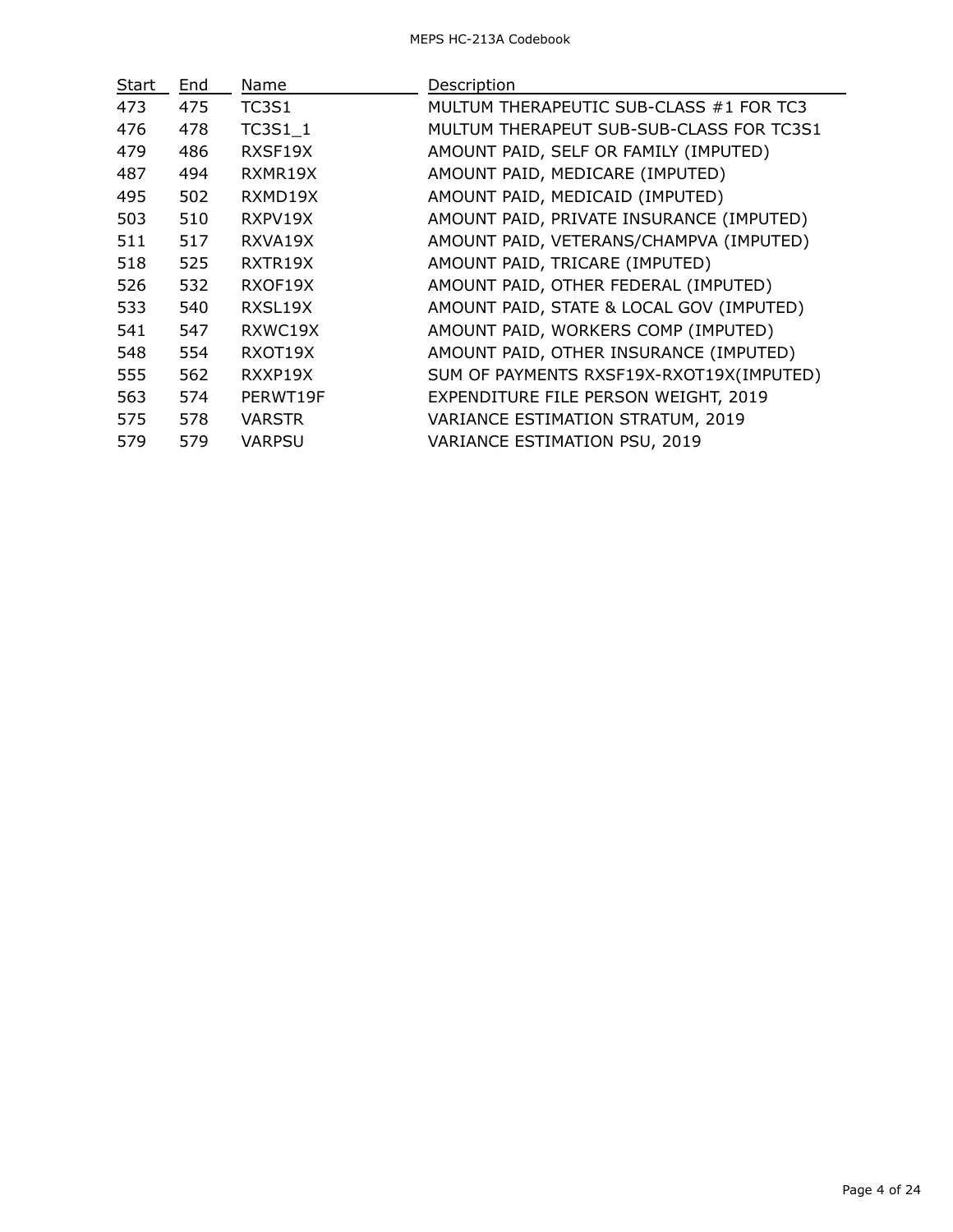| Start | End. | Name           | Description                              |
|-------|------|----------------|------------------------------------------|
| 473   | 475  | TC3S1          | MULTUM THERAPEUTIC SUB-CLASS #1 FOR TC3  |
| 476   | 478  | <b>TC3S1 1</b> | MULTUM THERAPEUT SUB-SUB-CLASS FOR TC3S1 |
| 479   | 486  | RXSF19X        | AMOUNT PAID, SELF OR FAMILY (IMPUTED)    |
| 487   | 494  | RXMR19X        | AMOUNT PAID, MEDICARE (IMPUTED)          |
| 495   | 502  | RXMD19X        | AMOUNT PAID, MEDICAID (IMPUTED)          |
| 503   | 510  | RXPV19X        | AMOUNT PAID, PRIVATE INSURANCE (IMPUTED) |
| 511   | 517  | RXVA19X        | AMOUNT PAID, VETERANS/CHAMPVA (IMPUTED)  |
| 518   | 525  | RXTR19X        | AMOUNT PAID, TRICARE (IMPUTED)           |
| 526   | 532  | RXOF19X        | AMOUNT PAID, OTHER FEDERAL (IMPUTED)     |
| 533   | 540  | RXSL19X        | AMOUNT PAID, STATE & LOCAL GOV (IMPUTED) |
| 541   | 547  | RXWC19X        | AMOUNT PAID, WORKERS COMP (IMPUTED)      |
| 548   | 554  | RXOT19X        | AMOUNT PAID, OTHER INSURANCE (IMPUTED)   |
| 555   | 562  | RXXP19X        | SUM OF PAYMENTS RXSF19X-RXOT19X(IMPUTED) |
| 563   | 574  | PERWT19F       | EXPENDITURE FILE PERSON WEIGHT, 2019     |
| 575   | 578  | <b>VARSTR</b>  | VARIANCE ESTIMATION STRATUM, 2019        |
| 579   | 579  | <b>VARPSU</b>  | VARIANCE ESTIMATION PSU, 2019            |
|       |      |                |                                          |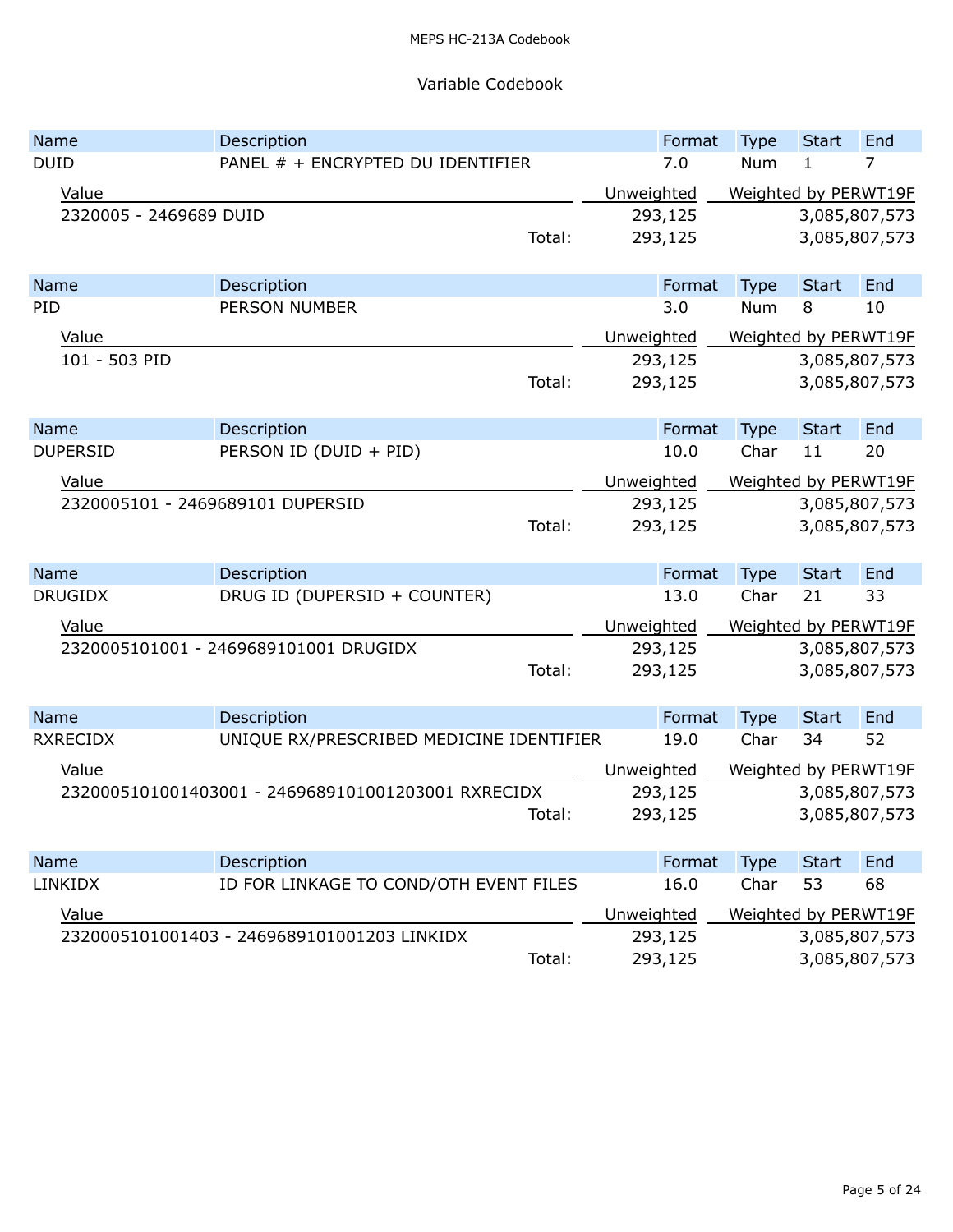## Variable Codebook

| Name                             | Description                                        |        |            | Format  | <b>Type</b>          | <b>Start</b>  | End |
|----------------------------------|----------------------------------------------------|--------|------------|---------|----------------------|---------------|-----|
| <b>DUID</b>                      | PANEL # + ENCRYPTED DU IDENTIFIER                  |        |            | 7.0     | Num                  | 1             | 7   |
| Value                            |                                                    |        | Unweighted |         | Weighted by PERWT19F |               |     |
| 2320005 - 2469689 DUID           |                                                    |        |            | 293,125 |                      | 3,085,807,573 |     |
|                                  |                                                    | Total: |            | 293,125 |                      | 3,085,807,573 |     |
|                                  |                                                    |        |            |         |                      |               |     |
| <b>Name</b>                      | Description                                        |        |            | Format  | <b>Type</b>          | <b>Start</b>  | End |
| PID                              | <b>PERSON NUMBER</b>                               |        |            | 3.0     | Num                  | 8             | 10  |
| Value                            |                                                    |        | Unweighted |         | Weighted by PERWT19F |               |     |
| 101 - 503 PID                    |                                                    |        |            | 293,125 |                      | 3,085,807,573 |     |
|                                  |                                                    | Total: |            | 293,125 |                      | 3,085,807,573 |     |
|                                  |                                                    |        |            |         |                      |               |     |
| Name                             | Description                                        |        |            | Format  | <b>Type</b>          | <b>Start</b>  | End |
| <b>DUPERSID</b>                  | PERSON ID (DUID + PID)                             |        |            | 10.0    | Char                 | 11            | 20  |
| Value                            |                                                    |        | Unweighted |         | Weighted by PERWT19F |               |     |
| 2320005101 - 2469689101 DUPERSID |                                                    |        |            | 293,125 |                      | 3,085,807,573 |     |
|                                  |                                                    | Total: |            | 293,125 |                      | 3,085,807,573 |     |
|                                  |                                                    |        |            |         |                      |               |     |
| Name                             | Description                                        |        |            | Format  | Type                 | <b>Start</b>  | End |
| <b>DRUGIDX</b>                   | DRUG ID (DUPERSID + COUNTER)                       |        |            | 13.0    | Char                 | 21            | 33  |
| Value                            |                                                    |        | Unweighted |         | Weighted by PERWT19F |               |     |
|                                  | 2320005101001 - 2469689101001 DRUGIDX              |        |            | 293,125 |                      | 3,085,807,573 |     |
|                                  |                                                    | Total: |            | 293,125 |                      | 3,085,807,573 |     |
|                                  |                                                    |        |            |         |                      |               |     |
| Name                             | Description                                        |        |            | Format  | <b>Type</b>          | <b>Start</b>  | End |
| <b>RXRECIDX</b>                  | UNIQUE RX/PRESCRIBED MEDICINE IDENTIFIER           |        |            | 19.0    | Char                 | 34            | 52  |
| Value                            |                                                    |        | Unweighted |         | Weighted by PERWT19F |               |     |
|                                  | 2320005101001403001 - 2469689101001203001 RXRECIDX |        |            | 293,125 |                      | 3,085,807,573 |     |
|                                  |                                                    | Total: |            | 293,125 |                      | 3,085,807,573 |     |
|                                  |                                                    |        |            |         |                      |               |     |
| <b>Name</b>                      | Description                                        |        |            | Format  | Type                 | <b>Start</b>  | End |
| <b>LINKIDX</b>                   | ID FOR LINKAGE TO COND/OTH EVENT FILES             |        |            | 16.0    | Char                 | 53            | 68  |
| Value                            |                                                    |        | Unweighted |         | Weighted by PERWT19F |               |     |
|                                  | 2320005101001403 - 2469689101001203 LINKIDX        |        |            | 293,125 |                      | 3,085,807,573 |     |
|                                  |                                                    | Total: |            | 293,125 |                      | 3,085,807,573 |     |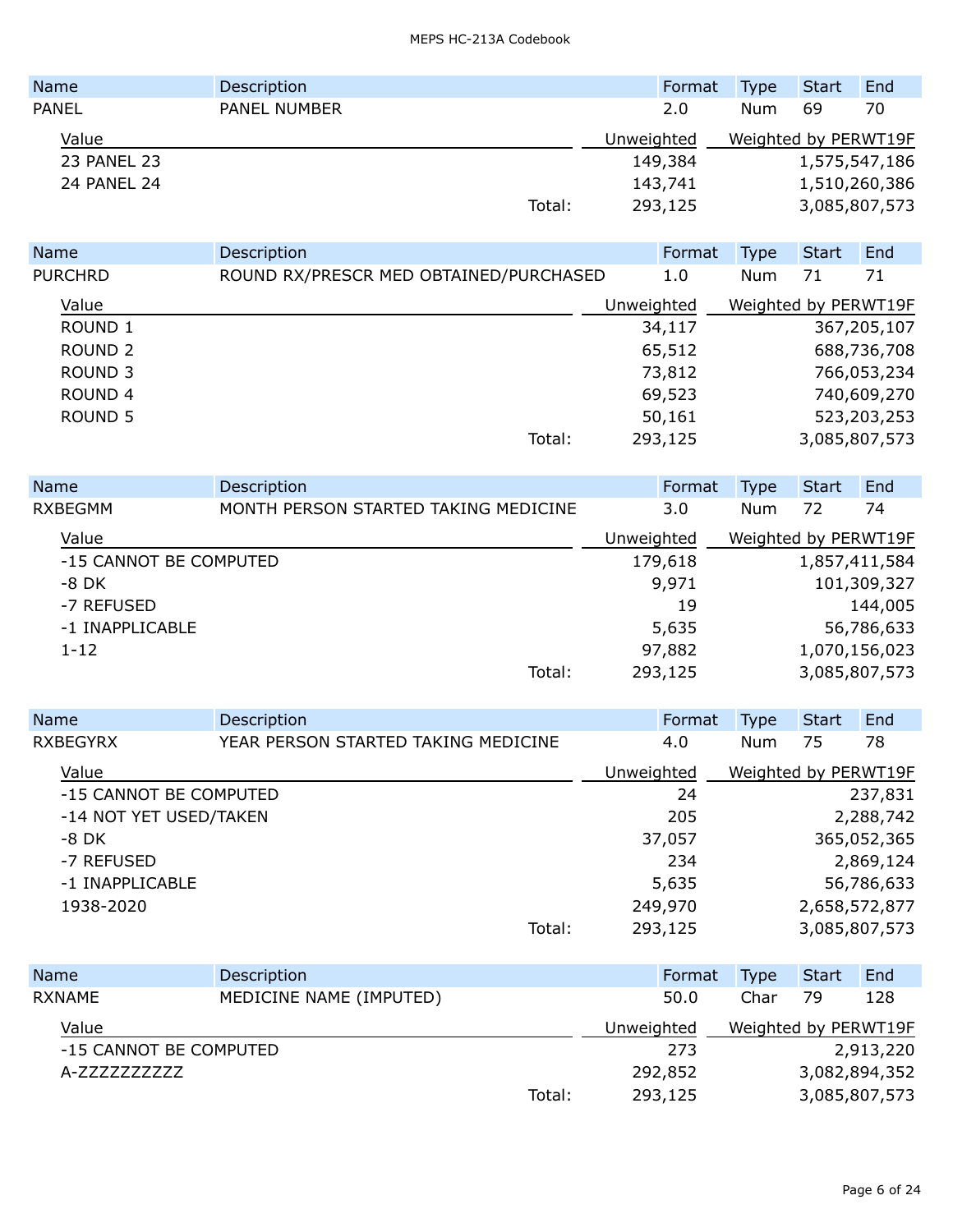| <b>Name</b>  | Description  |        | Format     | <b>Type</b>          | Start         | End           |
|--------------|--------------|--------|------------|----------------------|---------------|---------------|
| <b>PANEL</b> | PANEL NUMBER |        | 2.0        | <b>Num</b>           | 69            | 70            |
| Value        |              |        | Unweighted | Weighted by PERWT19F |               |               |
| 23 PANEL 23  |              |        | 149,384    |                      | 1,575,547,186 |               |
| 24 PANEL 24  |              |        | 143,741    |                      |               | 1,510,260,386 |
|              |              | Total: | 293,125    |                      |               | 3,085,807,573 |

| <b>Name</b>        | Description                            |            | Format  | Type                 | <b>Start</b>  | End         |
|--------------------|----------------------------------------|------------|---------|----------------------|---------------|-------------|
| <b>PURCHRD</b>     | ROUND RX/PRESCR MED OBTAINED/PURCHASED |            | 1.0     | Num                  | 71            | 71          |
| Value              |                                        | Unweighted |         | Weighted by PERWT19F |               |             |
| ROUND <sub>1</sub> |                                        |            | 34,117  |                      |               | 367,205,107 |
| ROUND <sub>2</sub> |                                        |            | 65,512  |                      |               | 688,736,708 |
| ROUND <sub>3</sub> |                                        |            | 73,812  |                      |               | 766,053,234 |
| <b>ROUND 4</b>     |                                        |            | 69,523  |                      |               | 740,609,270 |
| ROUND <sub>5</sub> |                                        |            | 50,161  |                      |               | 523,203,253 |
|                    | Total:                                 |            | 293,125 |                      | 3,085,807,573 |             |

| <b>Name</b>            | Description                          |            | Format  | Type                 | <b>Start</b>  | End         |
|------------------------|--------------------------------------|------------|---------|----------------------|---------------|-------------|
| <b>RXBEGMM</b>         | MONTH PERSON STARTED TAKING MEDICINE |            | 3.0     | Num                  | 72            | 74          |
| Value                  |                                      | Unweighted |         | Weighted by PERWT19F |               |             |
| -15 CANNOT BE COMPUTED |                                      |            | 179,618 |                      | 1,857,411,584 |             |
| $-8$ DK                |                                      |            | 9,971   |                      |               | 101,309,327 |
| -7 REFUSED             |                                      |            | 19      |                      |               | 144,005     |
| -1 INAPPLICABLE        |                                      |            | 5,635   |                      |               | 56,786,633  |
| $1 - 12$               |                                      |            | 97,882  |                      | 1,070,156,023 |             |
|                        | Total:                               |            | 293,125 |                      | 3,085,807,573 |             |

| Name                   | Description                         |            | Format  | <b>Type</b>          | <b>Start</b> | End           |
|------------------------|-------------------------------------|------------|---------|----------------------|--------------|---------------|
| <b>RXBEGYRX</b>        | YEAR PERSON STARTED TAKING MEDICINE |            | 4.0     | Num                  | 75           | 78            |
| Value                  |                                     | Unweighted |         | Weighted by PERWT19F |              |               |
| -15 CANNOT BE COMPUTED |                                     |            | 24      |                      |              | 237,831       |
| -14 NOT YET USED/TAKEN |                                     |            | 205     |                      |              | 2,288,742     |
| -8 DK                  |                                     |            | 37,057  |                      |              | 365,052,365   |
| -7 REFUSED             |                                     |            | 234     |                      |              | 2,869,124     |
| -1 INAPPLICABLE        |                                     |            | 5,635   |                      |              | 56,786,633    |
| 1938-2020              |                                     |            | 249,970 |                      |              | 2,658,572,877 |
|                        | Total:                              |            | 293,125 |                      |              | 3,085,807,573 |

| <b>Name</b>            | Description             |        | Format     | <b>Type</b>          | <b>Start</b> | End           |
|------------------------|-------------------------|--------|------------|----------------------|--------------|---------------|
| <b>RXNAME</b>          | MEDICINE NAME (IMPUTED) |        | 50.0       | Char                 | 79           | 128           |
| Value                  |                         |        | Unweighted | Weighted by PERWT19F |              |               |
| -15 CANNOT BE COMPUTED |                         |        | 273        |                      |              | 2,913,220     |
| A-7777777777           |                         |        | 292,852    |                      |              | 3,082,894,352 |
|                        |                         | Total: | 293,125    |                      |              | 3,085,807,573 |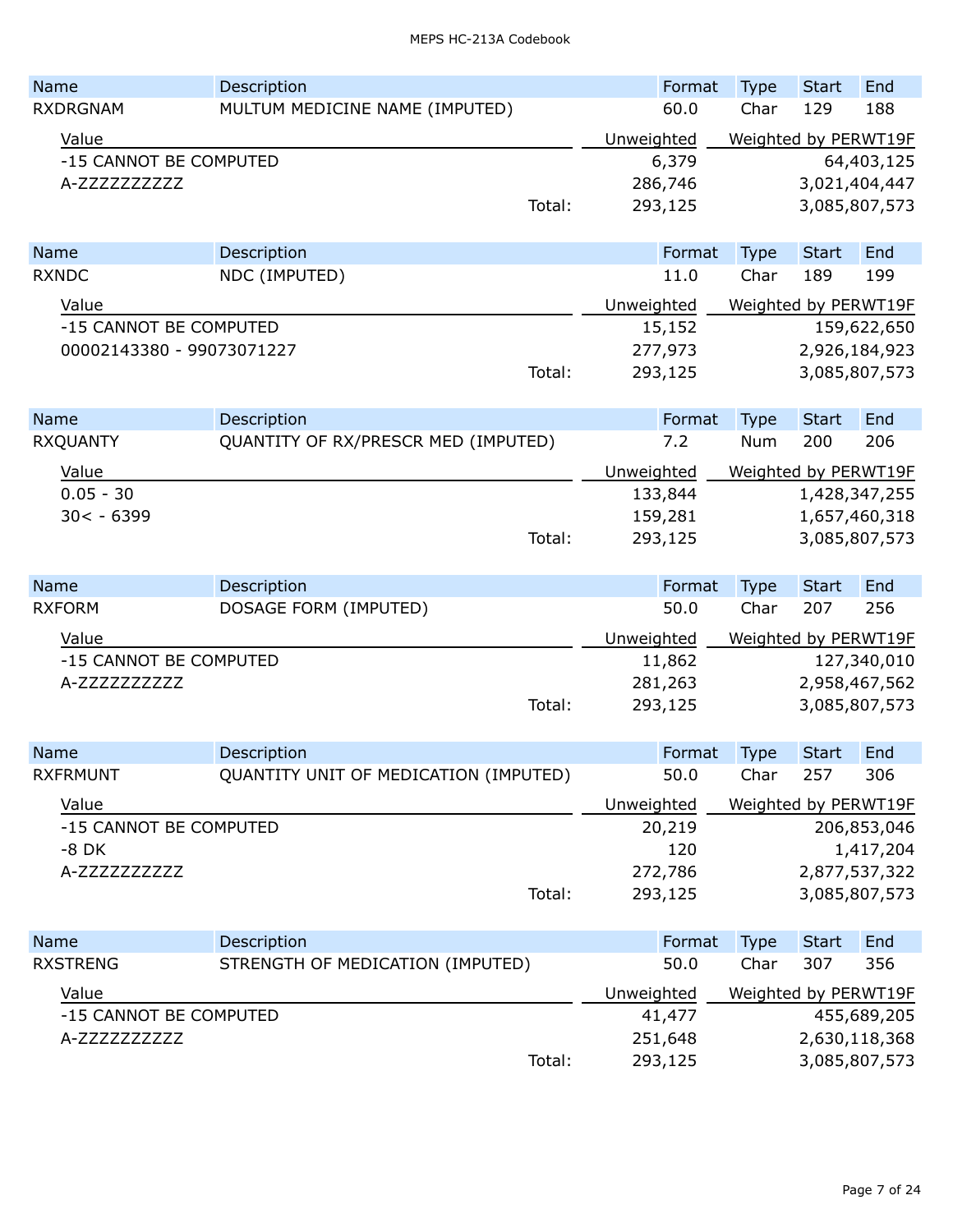| Name                      | Description                                     |        | Format         | <b>Type</b>         | <b>Start</b>        | End                  |
|---------------------------|-------------------------------------------------|--------|----------------|---------------------|---------------------|----------------------|
| <b>RXDRGNAM</b>           | MULTUM MEDICINE NAME (IMPUTED)                  |        | 60.0           | Char                | 129                 | 188                  |
| Value                     |                                                 |        | Unweighted     |                     |                     | Weighted by PERWT19F |
| -15 CANNOT BE COMPUTED    |                                                 |        | 6,379          |                     |                     | 64,403,125           |
| A-ZZZZZZZZZZZ             |                                                 |        | 286,746        |                     |                     | 3,021,404,447        |
|                           |                                                 | Total: | 293,125        |                     |                     | 3,085,807,573        |
|                           |                                                 |        |                |                     |                     |                      |
| Name                      | Description                                     |        | Format         | <b>Type</b>         | <b>Start</b>        | End                  |
| <b>RXNDC</b>              | NDC (IMPUTED)                                   |        | 11.0           | Char                | 189                 | 199                  |
| Value                     |                                                 |        | Unweighted     |                     |                     | Weighted by PERWT19F |
| -15 CANNOT BE COMPUTED    |                                                 |        | 15,152         |                     |                     | 159,622,650          |
| 00002143380 - 99073071227 |                                                 |        | 277,973        |                     |                     | 2,926,184,923        |
|                           |                                                 | Total: | 293,125        |                     |                     | 3,085,807,573        |
|                           |                                                 |        |                |                     |                     |                      |
| Name                      | Description                                     |        | Format         | <b>Type</b>         | <b>Start</b>        | End                  |
| <b>RXQUANTY</b>           | QUANTITY OF RX/PRESCR MED (IMPUTED)             |        | 7.2            | Num                 | 200                 | 206                  |
| Value                     |                                                 |        | Unweighted     |                     |                     | Weighted by PERWT19F |
| $0.05 - 30$               |                                                 |        | 133,844        |                     |                     | 1,428,347,255        |
| $30 < -6399$              |                                                 |        | 159,281        |                     |                     | 1,657,460,318        |
|                           |                                                 | Total: | 293,125        |                     |                     | 3,085,807,573        |
|                           |                                                 |        |                |                     |                     |                      |
| Name                      | Description                                     |        | Format         | <b>Type</b>         | <b>Start</b>        | End                  |
| <b>RXFORM</b>             | DOSAGE FORM (IMPUTED)                           |        | 50.0           | Char                | 207                 | 256                  |
| Value                     |                                                 |        | Unweighted     |                     |                     | Weighted by PERWT19F |
| -15 CANNOT BE COMPUTED    |                                                 |        | 11,862         |                     |                     | 127,340,010          |
| A-ZZZZZZZZZZZ             |                                                 |        | 281,263        |                     |                     | 2,958,467,562        |
|                           |                                                 | Total: | 293,125        |                     |                     | 3,085,807,573        |
|                           |                                                 |        |                |                     |                     |                      |
| <b>Name</b>               | Description                                     |        | Format         | <b>Type</b>         | <b>Start</b>        | End                  |
| <b>RXFRMUNT</b>           | QUANTITY UNIT OF MEDICATION (IMPUTED)           |        | 50.0           | Char                | 257                 | 306                  |
| Value                     |                                                 |        | Unweighted     |                     |                     | Weighted by PERWT19F |
| -15 CANNOT BE COMPUTED    |                                                 |        | 20,219         |                     |                     | 206,853,046          |
| $-8$ DK                   |                                                 |        | 120            |                     |                     | 1,417,204            |
| A-ZZZZZZZZZZZ             |                                                 |        | 272,786        |                     |                     | 2,877,537,322        |
|                           |                                                 | Total: | 293,125        |                     |                     | 3,085,807,573        |
|                           |                                                 |        |                |                     |                     |                      |
| Name<br><b>RXSTRENG</b>   | Description<br>STRENGTH OF MEDICATION (IMPUTED) |        | Format<br>50.0 | <b>Type</b><br>Char | <b>Start</b><br>307 | End<br>356           |
|                           |                                                 |        |                |                     |                     |                      |
| Value                     |                                                 |        | Unweighted     |                     |                     | Weighted by PERWT19F |
| -15 CANNOT BE COMPUTED    |                                                 |        | 41,477         |                     |                     | 455,689,205          |
| A-ZZZZZZZZZZZ             |                                                 |        | 251,648        |                     |                     | 2,630,118,368        |
|                           |                                                 | Total: | 293,125        |                     |                     | 3,085,807,573        |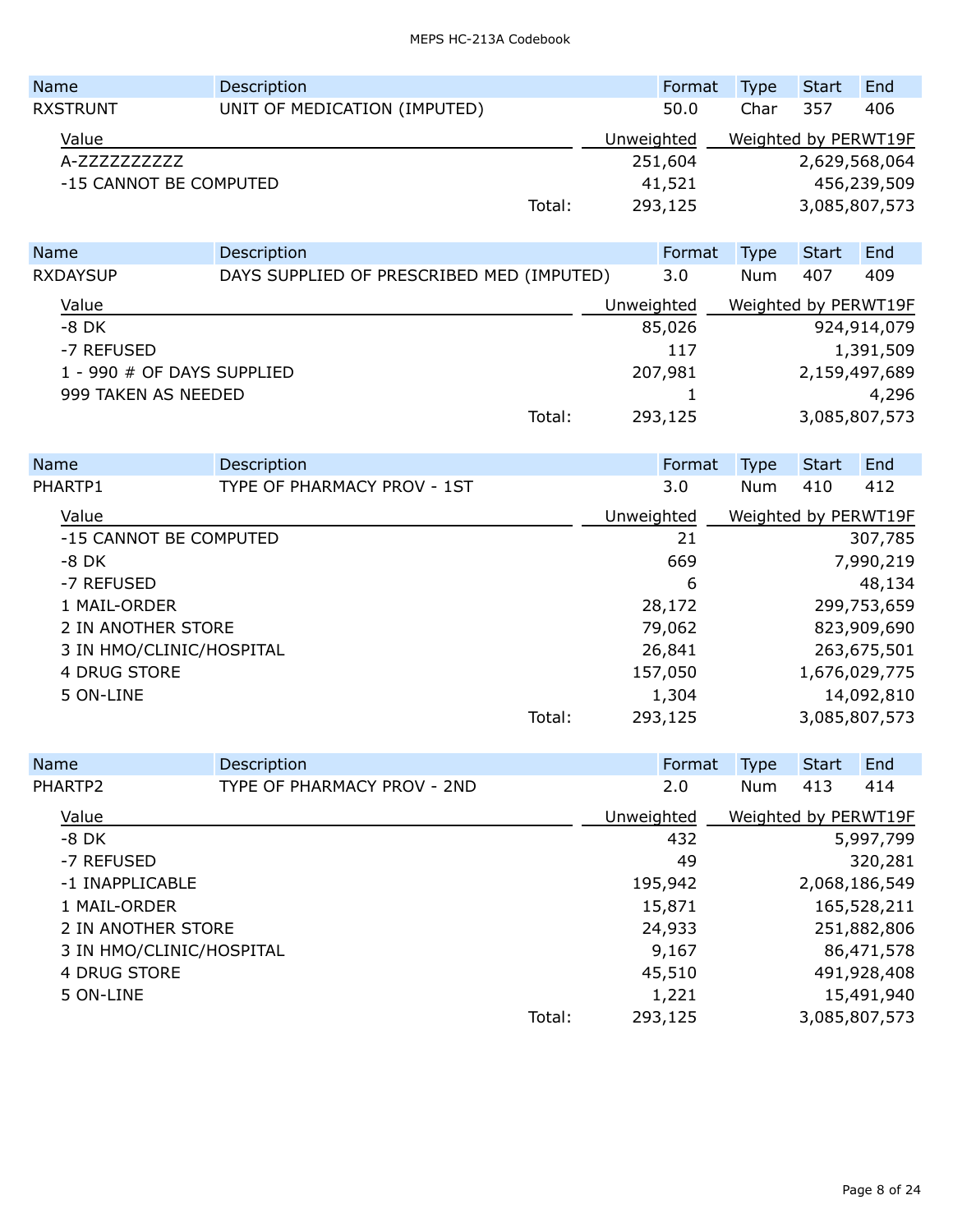| <b>Name</b>            | Description                  |        |            | Format | <b>Type</b>          | Start         | End         |
|------------------------|------------------------------|--------|------------|--------|----------------------|---------------|-------------|
| <b>RXSTRUNT</b>        | UNIT OF MEDICATION (IMPUTED) |        |            | 50.0   | Char                 | 357           | 406         |
| Value                  |                              |        | Unweighted |        | Weighted by PERWT19F |               |             |
| A-7777777777           |                              |        | 251,604    |        |                      | 2,629,568,064 |             |
| -15 CANNOT BE COMPUTED |                              |        | 41,521     |        |                      |               | 456,239,509 |
|                        |                              | Total: | 293,125    |        |                      | 3,085,807,573 |             |

| <b>Name</b>                | Description                               |            | Format  | <b>Type</b>          | <b>Start</b>  | End         |
|----------------------------|-------------------------------------------|------------|---------|----------------------|---------------|-------------|
| <b>RXDAYSUP</b>            | DAYS SUPPLIED OF PRESCRIBED MED (IMPUTED) |            | 3.0     | Num                  | 407           | 409         |
| Value                      |                                           | Unweighted |         | Weighted by PERWT19F |               |             |
| $-8$ DK                    |                                           |            | 85,026  |                      |               | 924,914,079 |
| -7 REFUSED                 |                                           |            | 117     |                      |               | 1,391,509   |
| 1 - 990 # OF DAYS SUPPLIED |                                           |            | 207,981 |                      | 2,159,497,689 |             |
| 999 TAKEN AS NEEDED        |                                           |            |         |                      |               | 4,296       |
|                            | Total:                                    |            | 293,125 |                      | 3,085,807,573 |             |

| <b>Name</b>        | Description                 |        | Format     | <b>Type</b>          | <b>Start</b> | End           |
|--------------------|-----------------------------|--------|------------|----------------------|--------------|---------------|
| PHARTP1            | TYPE OF PHARMACY PROV - 1ST |        | 3.0        | Num                  | 410          | 412           |
| Value              |                             |        | Unweighted | Weighted by PERWT19F |              |               |
|                    | -15 CANNOT BE COMPUTED      |        | 21         |                      |              | 307,785       |
| $-8$ DK            |                             |        | 669        |                      |              | 7,990,219     |
| -7 REFUSED         |                             |        | 6          |                      |              | 48,134        |
| 1 MAIL-ORDER       |                             |        | 28,172     |                      |              | 299,753,659   |
| 2 IN ANOTHER STORE |                             |        | 79,062     |                      |              | 823,909,690   |
|                    | 3 IN HMO/CLINIC/HOSPITAL    |        | 26,841     |                      |              | 263,675,501   |
| 4 DRUG STORE       |                             |        | 157,050    |                      |              | 1,676,029,775 |
| 5 ON-LINE          |                             |        | 1,304      |                      |              | 14,092,810    |
|                    |                             | Total: | 293,125    |                      |              | 3,085,807,573 |

|           | Name                     | Description                 |        |            | Format  | <b>Type</b>          | <b>Start</b> | End           |
|-----------|--------------------------|-----------------------------|--------|------------|---------|----------------------|--------------|---------------|
|           | PHARTP2                  | TYPE OF PHARMACY PROV - 2ND |        |            | 2.0     | Num                  | 413          | 414           |
|           | Value                    |                             |        | Unweighted |         | Weighted by PERWT19F |              |               |
|           | -8 DK                    |                             |        |            | 432     |                      |              | 5,997,799     |
|           | -7 REFUSED               |                             |        |            | 49      |                      |              | 320,281       |
|           | -1 INAPPLICABLE          |                             |        |            | 195,942 |                      |              | 2,068,186,549 |
|           | 1 MAIL-ORDER             |                             |        |            | 15,871  |                      |              | 165,528,211   |
|           | 2 IN ANOTHER STORE       |                             |        |            | 24,933  |                      |              | 251,882,806   |
|           | 3 IN HMO/CLINIC/HOSPITAL |                             |        |            | 9,167   |                      |              | 86,471,578    |
|           | 4 DRUG STORE             |                             |        |            | 45,510  |                      |              | 491,928,408   |
| 5 ON-LINE |                          |                             |        |            | 1,221   |                      |              | 15,491,940    |
|           |                          |                             | Total: |            | 293,125 |                      |              | 3,085,807,573 |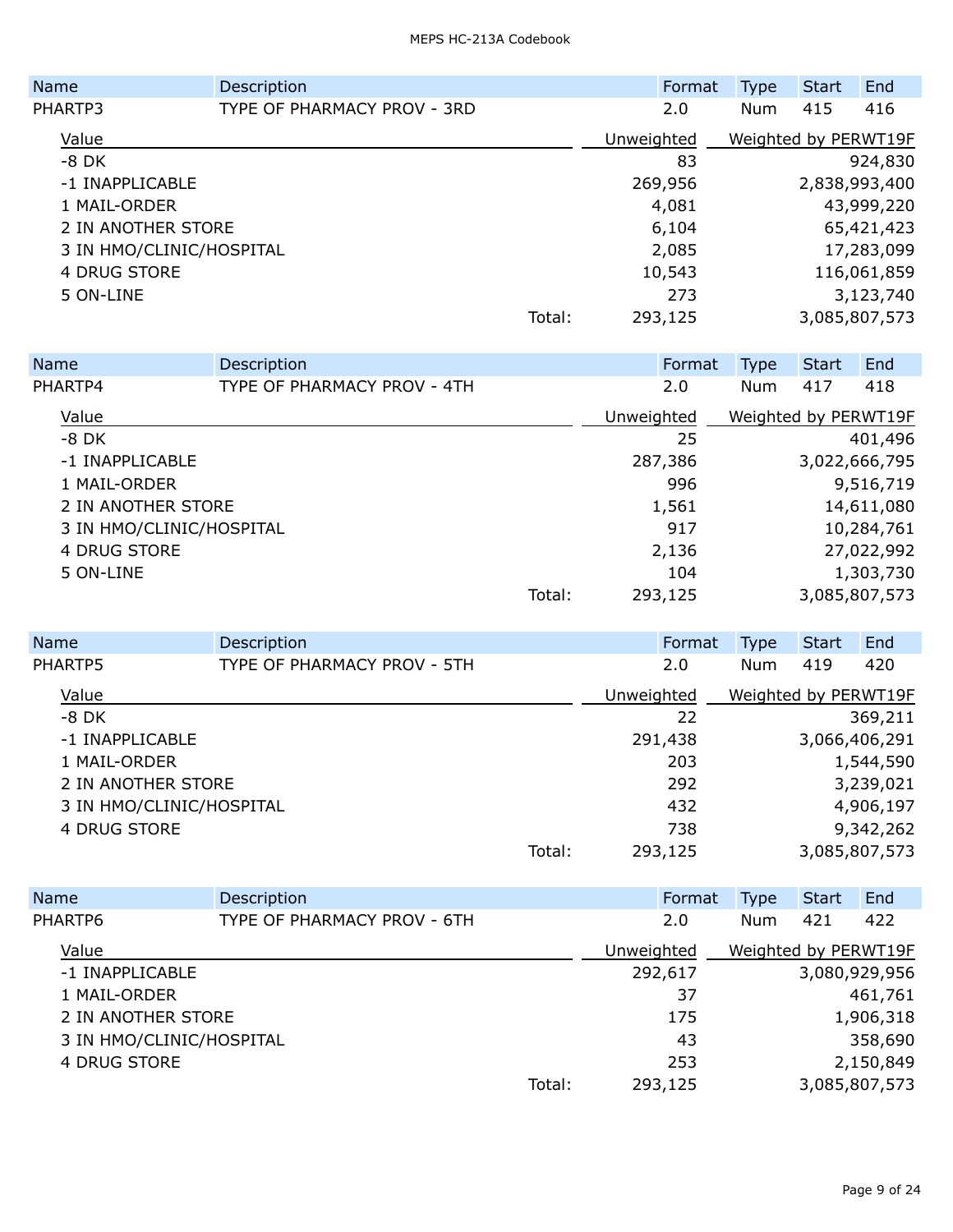| <b>Name</b>              | Description                 |        | Format     | <b>Type</b>          | <b>Start</b> | End           |
|--------------------------|-----------------------------|--------|------------|----------------------|--------------|---------------|
| PHARTP3                  | TYPE OF PHARMACY PROV - 3RD |        | 2.0        | <b>Num</b>           | 415          | 416           |
| Value                    |                             |        | Unweighted | Weighted by PERWT19F |              |               |
| $-8$ DK                  |                             |        | 83         |                      |              | 924,830       |
| -1 INAPPLICABLE          |                             |        | 269,956    |                      |              | 2,838,993,400 |
| 1 MAIL-ORDER             |                             |        | 4,081      |                      |              | 43,999,220    |
| 2 IN ANOTHER STORE       |                             |        | 6,104      |                      |              | 65,421,423    |
| 3 IN HMO/CLINIC/HOSPITAL |                             |        | 2,085      |                      |              | 17,283,099    |
| 4 DRUG STORE             |                             |        | 10,543     |                      |              | 116,061,859   |
| 5 ON-LINE                |                             |        | 273        |                      |              | 3,123,740     |
|                          |                             | Total: | 293,125    |                      |              | 3,085,807,573 |
|                          |                             |        |            |                      |              |               |

| Name                     | Description                 |        | Format     | <b>Type</b> | <b>Start</b> | End                  |
|--------------------------|-----------------------------|--------|------------|-------------|--------------|----------------------|
| PHARTP4                  | TYPE OF PHARMACY PROV - 4TH |        | 2.0        | Num         | 417          | 418                  |
| Value                    |                             |        | Unweighted |             |              | Weighted by PERWT19F |
| $-8$ DK                  |                             |        | 25         |             |              | 401,496              |
| -1 INAPPLICABLE          |                             |        | 287,386    |             |              | 3,022,666,795        |
| 1 MAIL-ORDER             |                             |        | 996        |             |              | 9,516,719            |
| 2 IN ANOTHER STORE       |                             |        | 1,561      |             |              | 14,611,080           |
| 3 IN HMO/CLINIC/HOSPITAL |                             |        | 917        |             |              | 10,284,761           |
| 4 DRUG STORE             |                             |        | 2,136      |             |              | 27,022,992           |
| 5 ON-LINE                |                             |        | 104        |             |              | 1,303,730            |
|                          |                             | Total: | 293,125    |             |              | 3,085,807,573        |
|                          |                             |        |            |             |              |                      |

| Name                     | Description                 |        | Format     | <b>Type</b> | <b>Start</b> | End                  |
|--------------------------|-----------------------------|--------|------------|-------------|--------------|----------------------|
| PHARTP5                  | TYPE OF PHARMACY PROV - 5TH |        | 2.0        | <b>Num</b>  | 419          | 420                  |
| Value                    |                             |        | Unweighted |             |              | Weighted by PERWT19F |
| $-8$ DK                  |                             |        | 22         |             |              | 369,211              |
| -1 INAPPLICABLE          |                             |        | 291,438    |             |              | 3,066,406,291        |
| 1 MAIL-ORDER             |                             |        | 203        |             |              | 1,544,590            |
| 2 IN ANOTHER STORE       |                             |        | 292        |             |              | 3,239,021            |
| 3 IN HMO/CLINIC/HOSPITAL |                             |        | 432        |             |              | 4,906,197            |
| 4 DRUG STORE             |                             |        | 738        |             |              | 9,342,262            |
|                          |                             | Total: | 293,125    |             |              | 3,085,807,573        |

| <b>Name</b>        | Description                 |        | Format     | <b>Type</b> | Start | End                  |
|--------------------|-----------------------------|--------|------------|-------------|-------|----------------------|
| PHARTP6            | TYPE OF PHARMACY PROV - 6TH |        | 2.0        | <b>Num</b>  | 421   | 422                  |
| Value              |                             |        | Unweighted |             |       | Weighted by PERWT19F |
| -1 INAPPLICABLE    |                             |        | 292,617    |             |       | 3,080,929,956        |
| 1 MAIL-ORDER       |                             |        | 37         |             |       | 461,761              |
| 2 IN ANOTHER STORE |                             |        | 175        |             |       | 1,906,318            |
|                    | 3 IN HMO/CLINIC/HOSPITAL    |        | 43         |             |       | 358,690              |
| 4 DRUG STORE       |                             |        | 253        |             |       | 2,150,849            |
|                    |                             | Total: | 293,125    |             |       | 3,085,807,573        |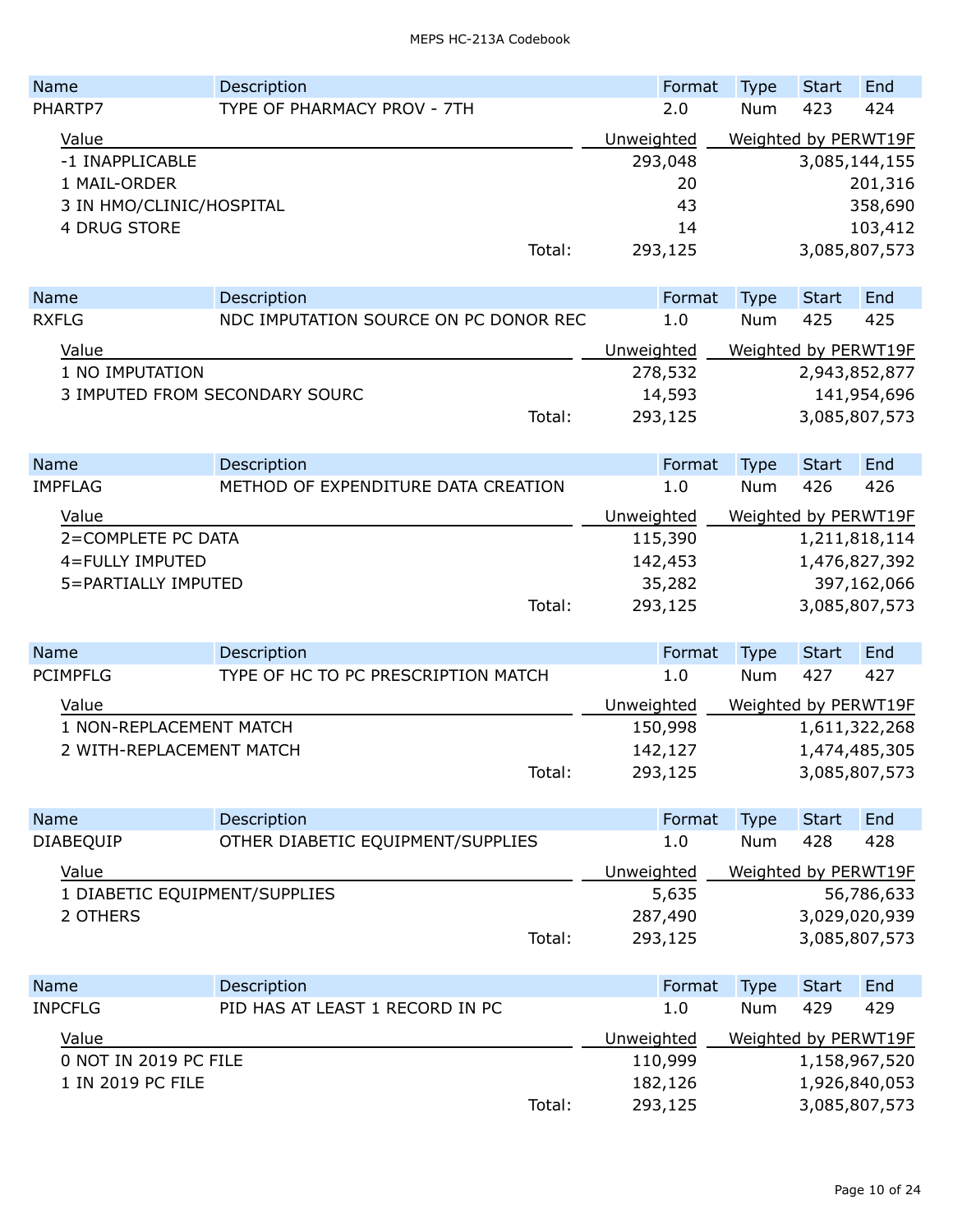| <b>Name</b>     | Description                 |        | Format     | <b>Type</b> | <b>Start</b> | End                  |
|-----------------|-----------------------------|--------|------------|-------------|--------------|----------------------|
| PHARTP7         | TYPE OF PHARMACY PROV - 7TH |        | 2.0        | <b>Num</b>  | 423          | 424                  |
| Value           |                             |        | Unweighted |             |              | Weighted by PERWT19F |
| -1 INAPPLICABLE |                             |        | 293,048    |             |              | 3,085,144,155        |
| 1 MAIL-ORDER    |                             |        | 20         |             |              | 201,316              |
|                 | 3 IN HMO/CLINIC/HOSPITAL    |        | 43         |             |              | 358,690              |
| 4 DRUG STORE    |                             |        | 14         |             |              | 103,412              |
|                 |                             | Total: | 293,125    |             |              | 3,085,807,573        |
|                 |                             |        |            |             |              |                      |

| <b>Name</b>     | Description                           |            | Format  | Type                 | <b>Start</b> | End           |
|-----------------|---------------------------------------|------------|---------|----------------------|--------------|---------------|
| <b>RXFLG</b>    | NDC IMPUTATION SOURCE ON PC DONOR REC |            | 1.0     | <b>Num</b>           | 425          | 425           |
| Value           |                                       | Unweighted |         | Weighted by PERWT19F |              |               |
| 1 NO IMPUTATION |                                       |            | 278,532 |                      |              | 2,943,852,877 |
|                 | 3 IMPUTED FROM SECONDARY SOURC        |            | 14,593  |                      |              | 141,954,696   |
|                 | Total:                                |            | 293,125 |                      |              | 3,085,807,573 |

| <b>Name</b>         | Description                         |            | Format  | Type                 | Start | End           |
|---------------------|-------------------------------------|------------|---------|----------------------|-------|---------------|
| <b>IMPFLAG</b>      | METHOD OF EXPENDITURE DATA CREATION |            | 1.0     | <b>Num</b>           | 426   | 426           |
| Value               |                                     | Unweighted |         | Weighted by PERWT19F |       |               |
| 2=COMPLETE PC DATA  |                                     |            | 115,390 |                      |       | 1,211,818,114 |
| 4=FULLY IMPUTED     |                                     |            | 142,453 |                      |       | 1,476,827,392 |
| 5=PARTIALLY IMPUTED |                                     |            | 35,282  |                      |       | 397,162,066   |
|                     | Total:                              |            | 293,125 |                      |       | 3,085,807,573 |

| <b>Name</b>              | Description                         |            | Format  | <b>Type</b>          | Start         | End |
|--------------------------|-------------------------------------|------------|---------|----------------------|---------------|-----|
| PCIMPFLG                 | TYPE OF HC TO PC PRESCRIPTION MATCH |            | 1.0     | <b>Num</b>           | 427           | 427 |
| Value                    |                                     | Unweighted |         | Weighted by PERWT19F |               |     |
| 1 NON-REPLACEMENT MATCH  |                                     |            | 150,998 |                      | 1,611,322,268 |     |
| 2 WITH-REPLACEMENT MATCH |                                     |            | 142,127 |                      | 1,474,485,305 |     |
|                          | Total:                              |            | 293,125 |                      | 3,085,807,573 |     |

| <b>Name</b>                   | Description                       | Format     | <b>Type</b>          | Start | End           |
|-------------------------------|-----------------------------------|------------|----------------------|-------|---------------|
| <b>DIABEQUIP</b>              | OTHER DIABETIC EQUIPMENT/SUPPLIES | 1.0        | <b>Num</b>           | 428   | 428           |
| Value                         |                                   | Unweighted | Weighted by PERWT19F |       |               |
| 1 DIABETIC EQUIPMENT/SUPPLIES |                                   | 5,635      |                      |       | 56,786,633    |
| 2 OTHERS                      |                                   | 287,490    |                      |       | 3,029,020,939 |
|                               | Total:                            | 293,125    |                      |       | 3,085,807,573 |

| <b>Name</b>           | Description                     |        | Format     | <b>Type</b> | Start | End                  |
|-----------------------|---------------------------------|--------|------------|-------------|-------|----------------------|
| <b>INPCFLG</b>        | PID HAS AT LEAST 1 RECORD IN PC |        | 1.0        | Num         | 429   | 429                  |
| Value                 |                                 |        | Unweighted |             |       | Weighted by PERWT19F |
| 0 NOT IN 2019 PC FILE |                                 |        | 110,999    |             |       | 1,158,967,520        |
| 1 IN 2019 PC FILE     |                                 |        | 182,126    |             |       | 1,926,840,053        |
|                       |                                 | Total: | 293,125    |             |       | 3,085,807,573        |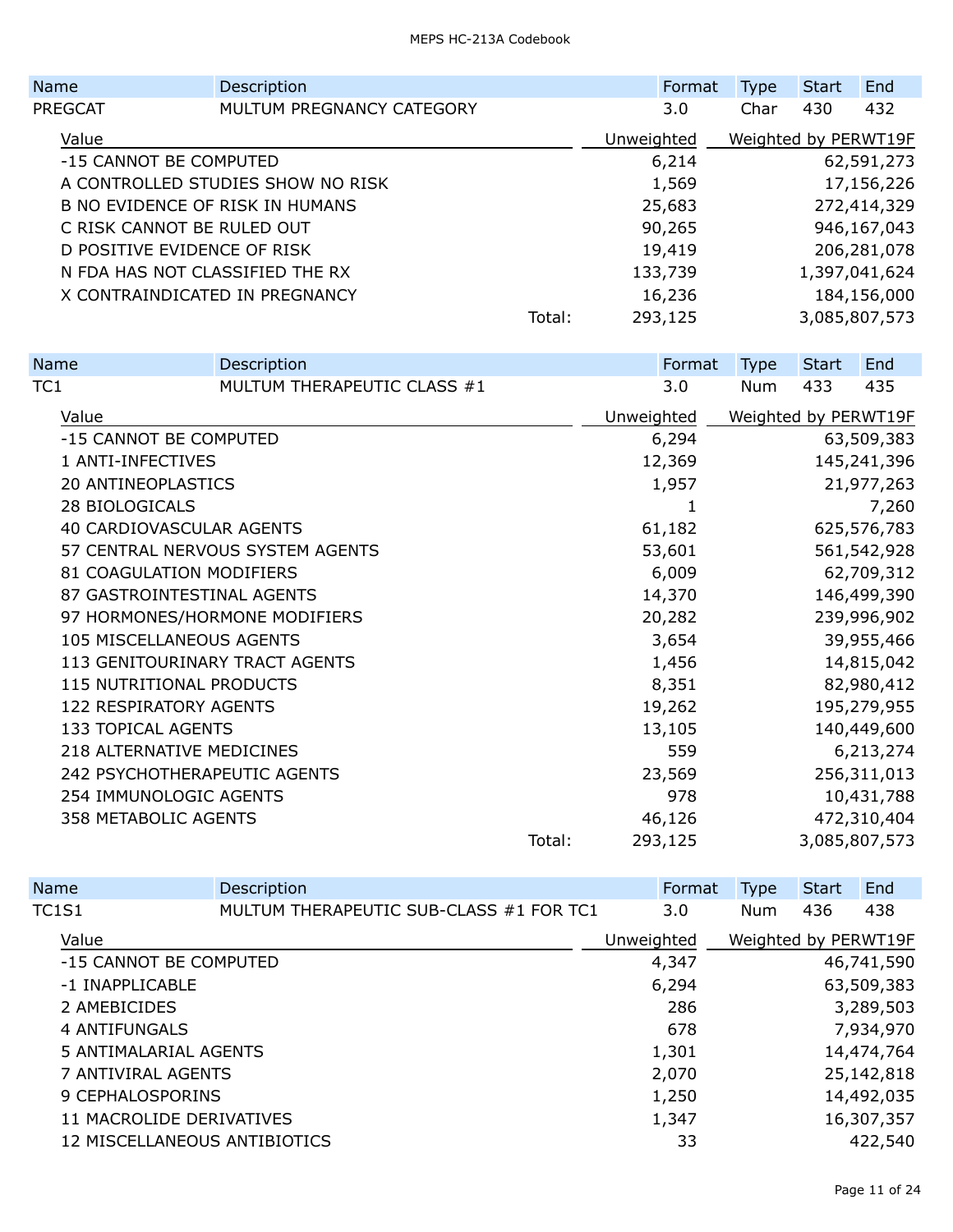|                                   | Name                            | Description               |        | Format     | <b>Type</b>          | <b>Start</b> | End           |
|-----------------------------------|---------------------------------|---------------------------|--------|------------|----------------------|--------------|---------------|
|                                   | PREGCAT                         | MULTUM PREGNANCY CATEGORY |        | 3.0        | Char                 | 430          | 432           |
|                                   | Value                           |                           |        | Unweighted | Weighted by PERWT19F |              |               |
|                                   | -15 CANNOT BE COMPUTED          |                           |        | 6,214      |                      |              | 62,591,273    |
| A CONTROLLED STUDIES SHOW NO RISK |                                 |                           |        | 1,569      |                      |              | 17,156,226    |
|                                   | B NO EVIDENCE OF RISK IN HUMANS |                           |        | 25,683     |                      |              | 272,414,329   |
|                                   | C RISK CANNOT BE RULED OUT      |                           |        | 90,265     |                      |              | 946,167,043   |
|                                   | D POSITIVE EVIDENCE OF RISK     |                           |        | 19,419     |                      |              | 206, 281, 078 |
|                                   | N FDA HAS NOT CLASSIFIED THE RX |                           |        | 133,739    |                      |              | 1,397,041,624 |
|                                   | X CONTRAINDICATED IN PREGNANCY  |                           |        | 16,236     |                      |              | 184,156,000   |
|                                   |                                 |                           | Total: | 293,125    |                      |              | 3,085,807,573 |
|                                   |                                 |                           |        |            |                      |              |               |

|     | Name                            | Description                      |        | Format     | <b>Type</b> | <b>Start</b> | End                  |
|-----|---------------------------------|----------------------------------|--------|------------|-------------|--------------|----------------------|
| TC1 |                                 | MULTUM THERAPEUTIC CLASS #1      |        | 3.0        | <b>Num</b>  | 433          | 435                  |
|     | Value                           |                                  |        | Unweighted |             |              | Weighted by PERWT19F |
|     | -15 CANNOT BE COMPUTED          |                                  |        | 6,294      |             |              | 63,509,383           |
|     | 1 ANTI-INFECTIVES               |                                  |        | 12,369     |             |              | 145,241,396          |
|     | 20 ANTINEOPLASTICS              |                                  |        | 1,957      |             |              | 21,977,263           |
|     | 28 BIOLOGICALS                  |                                  |        | 1          |             |              | 7,260                |
|     | 40 CARDIOVASCULAR AGENTS        |                                  |        | 61,182     |             |              | 625,576,783          |
|     |                                 | 57 CENTRAL NERVOUS SYSTEM AGENTS |        | 53,601     |             |              | 561,542,928          |
|     | 81 COAGULATION MODIFIERS        |                                  |        | 6,009      |             |              | 62,709,312           |
|     | 87 GASTROINTESTINAL AGENTS      |                                  |        | 14,370     |             |              | 146,499,390          |
|     |                                 | 97 HORMONES/HORMONE MODIFIERS    |        | 20,282     |             |              | 239,996,902          |
|     | 105 MISCELLANEOUS AGENTS        |                                  |        | 3,654      |             |              | 39,955,466           |
|     | 113 GENITOURINARY TRACT AGENTS  |                                  |        | 1,456      |             |              | 14,815,042           |
|     | <b>115 NUTRITIONAL PRODUCTS</b> |                                  |        | 8,351      |             |              | 82,980,412           |
|     | 122 RESPIRATORY AGENTS          |                                  |        | 19,262     |             |              | 195,279,955          |
|     | 133 TOPICAL AGENTS              |                                  |        | 13,105     |             |              | 140,449,600          |
|     | 218 ALTERNATIVE MEDICINES       |                                  |        | 559        |             |              | 6,213,274            |
|     | 242 PSYCHOTHERAPEUTIC AGENTS    |                                  |        | 23,569     |             |              | 256,311,013          |
|     | 254 IMMUNOLOGIC AGENTS          |                                  |        | 978        |             |              | 10,431,788           |
|     | 358 METABOLIC AGENTS            |                                  |        | 46,126     |             |              | 472,310,404          |
|     |                                 |                                  | Total: | 293,125    |             |              | 3,085,807,573        |
|     |                                 |                                  |        |            |             |              |                      |

| Name                         | Description                             | Format     | <b>Type</b>          | <b>Start</b> | End        |
|------------------------------|-----------------------------------------|------------|----------------------|--------------|------------|
| TC1S1                        | MULTUM THERAPEUTIC SUB-CLASS #1 FOR TC1 | 3.0        | <b>Num</b>           | 436          | 438        |
| Value                        |                                         | Unweighted | Weighted by PERWT19F |              |            |
| -15 CANNOT BE COMPUTED       |                                         | 4,347      |                      |              | 46,741,590 |
| -1 INAPPLICABLE              |                                         | 6,294      |                      |              | 63,509,383 |
| 2 AMEBICIDES                 |                                         | 286        |                      |              | 3,289,503  |
| 4 ANTIFUNGALS                |                                         | 678        |                      |              | 7,934,970  |
| 5 ANTIMALARIAL AGENTS        |                                         | 1,301      |                      |              | 14,474,764 |
| 7 ANTIVIRAL AGENTS           |                                         | 2,070      |                      |              | 25,142,818 |
| 9 CEPHALOSPORINS             |                                         | 1,250      |                      |              | 14,492,035 |
| 11 MACROLIDE DERIVATIVES     |                                         | 1,347      |                      |              | 16,307,357 |
| 12 MISCELLANEOUS ANTIBIOTICS |                                         | 33         |                      |              | 422,540    |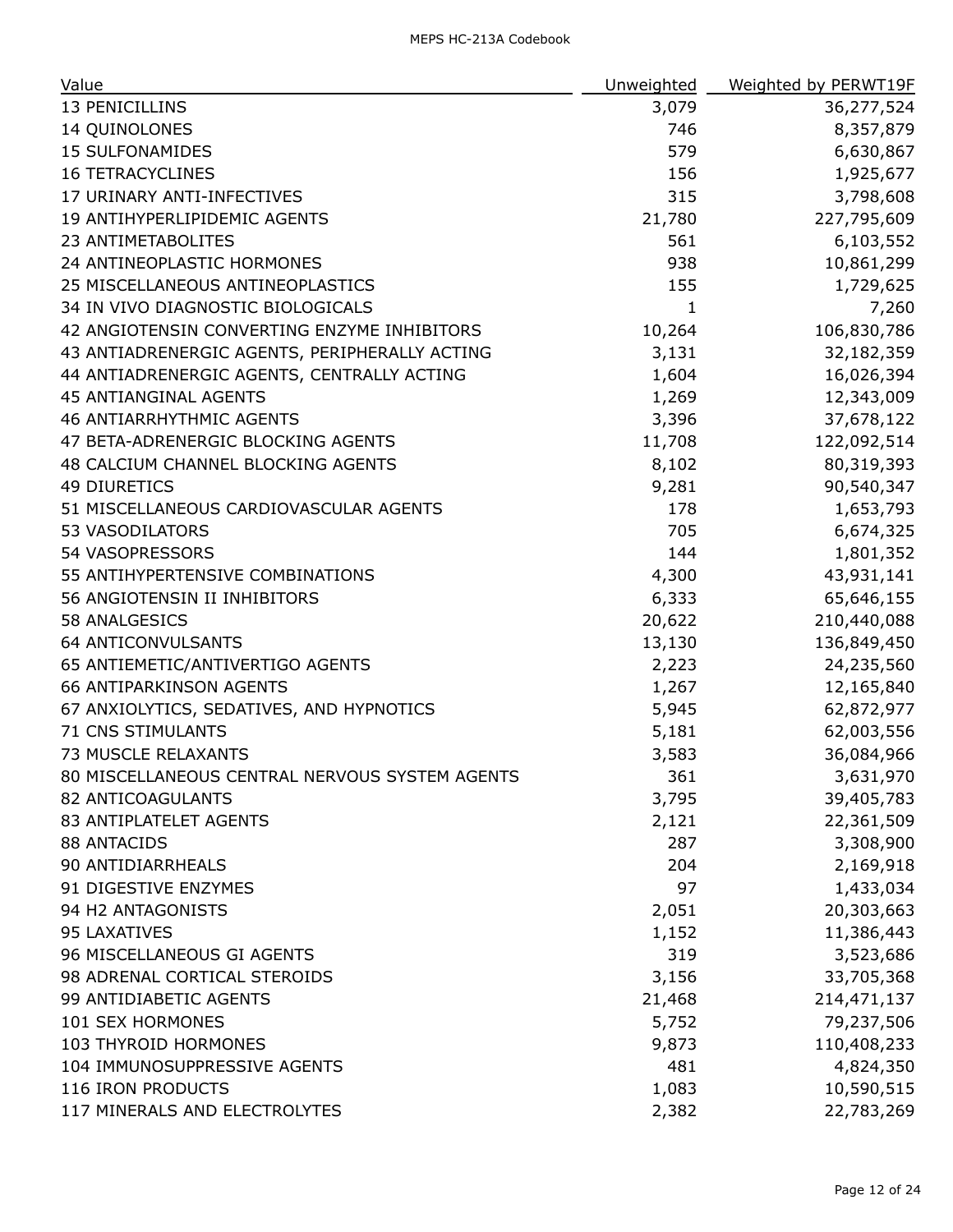| Value                                          | Unweighted   | Weighted by PERWT19F |
|------------------------------------------------|--------------|----------------------|
| 13 PENICILLINS                                 | 3,079        | 36,277,524           |
| 14 QUINOLONES                                  | 746          | 8,357,879            |
| <b>15 SULFONAMIDES</b>                         | 579          | 6,630,867            |
| <b>16 TETRACYCLINES</b>                        | 156          | 1,925,677            |
| 17 URINARY ANTI-INFECTIVES                     | 315          | 3,798,608            |
| 19 ANTIHYPERLIPIDEMIC AGENTS                   | 21,780       | 227,795,609          |
| 23 ANTIMETABOLITES                             | 561          | 6,103,552            |
| 24 ANTINEOPLASTIC HORMONES                     | 938          | 10,861,299           |
| 25 MISCELLANEOUS ANTINEOPLASTICS               | 155          | 1,729,625            |
| 34 IN VIVO DIAGNOSTIC BIOLOGICALS              | $\mathbf{1}$ | 7,260                |
| 42 ANGIOTENSIN CONVERTING ENZYME INHIBITORS    | 10,264       | 106,830,786          |
| 43 ANTIADRENERGIC AGENTS, PERIPHERALLY ACTING  | 3,131        | 32,182,359           |
| 44 ANTIADRENERGIC AGENTS, CENTRALLY ACTING     | 1,604        | 16,026,394           |
| <b>45 ANTIANGINAL AGENTS</b>                   | 1,269        | 12,343,009           |
| <b>46 ANTIARRHYTHMIC AGENTS</b>                | 3,396        | 37,678,122           |
| 47 BETA-ADRENERGIC BLOCKING AGENTS             | 11,708       | 122,092,514          |
| 48 CALCIUM CHANNEL BLOCKING AGENTS             | 8,102        | 80,319,393           |
| <b>49 DIURETICS</b>                            | 9,281        | 90,540,347           |
| 51 MISCELLANEOUS CARDIOVASCULAR AGENTS         | 178          | 1,653,793            |
| 53 VASODILATORS                                | 705          | 6,674,325            |
| 54 VASOPRESSORS                                | 144          | 1,801,352            |
| 55 ANTIHYPERTENSIVE COMBINATIONS               | 4,300        | 43,931,141           |
| 56 ANGIOTENSIN II INHIBITORS                   | 6,333        | 65,646,155           |
| 58 ANALGESICS                                  | 20,622       | 210,440,088          |
| <b>64 ANTICONVULSANTS</b>                      | 13,130       | 136,849,450          |
| 65 ANTIEMETIC/ANTIVERTIGO AGENTS               | 2,223        | 24,235,560           |
| <b>66 ANTIPARKINSON AGENTS</b>                 | 1,267        | 12,165,840           |
| 67 ANXIOLYTICS, SEDATIVES, AND HYPNOTICS       | 5,945        | 62,872,977           |
| <b>71 CNS STIMULANTS</b>                       | 5,181        | 62,003,556           |
| 73 MUSCLE RELAXANTS                            | 3,583        | 36,084,966           |
| 80 MISCELLANEOUS CENTRAL NERVOUS SYSTEM AGENTS | 361          | 3,631,970            |
| 82 ANTICOAGULANTS                              | 3,795        | 39,405,783           |
| 83 ANTIPLATELET AGENTS                         | 2,121        | 22,361,509           |
| 88 ANTACIDS                                    | 287          | 3,308,900            |
| 90 ANTIDIARRHEALS                              | 204          | 2,169,918            |
| 91 DIGESTIVE ENZYMES                           | 97           | 1,433,034            |
| 94 H2 ANTAGONISTS                              | 2,051        | 20,303,663           |
| 95 LAXATIVES                                   | 1,152        | 11,386,443           |
| 96 MISCELLANEOUS GI AGENTS                     | 319          | 3,523,686            |
| 98 ADRENAL CORTICAL STEROIDS                   | 3,156        | 33,705,368           |
| 99 ANTIDIABETIC AGENTS                         | 21,468       | 214,471,137          |
| 101 SEX HORMONES                               | 5,752        | 79,237,506           |
| 103 THYROID HORMONES                           | 9,873        | 110,408,233          |
| 104 IMMUNOSUPPRESSIVE AGENTS                   | 481          | 4,824,350            |
| 116 IRON PRODUCTS                              | 1,083        | 10,590,515           |
| 117 MINERALS AND ELECTROLYTES                  | 2,382        | 22,783,269           |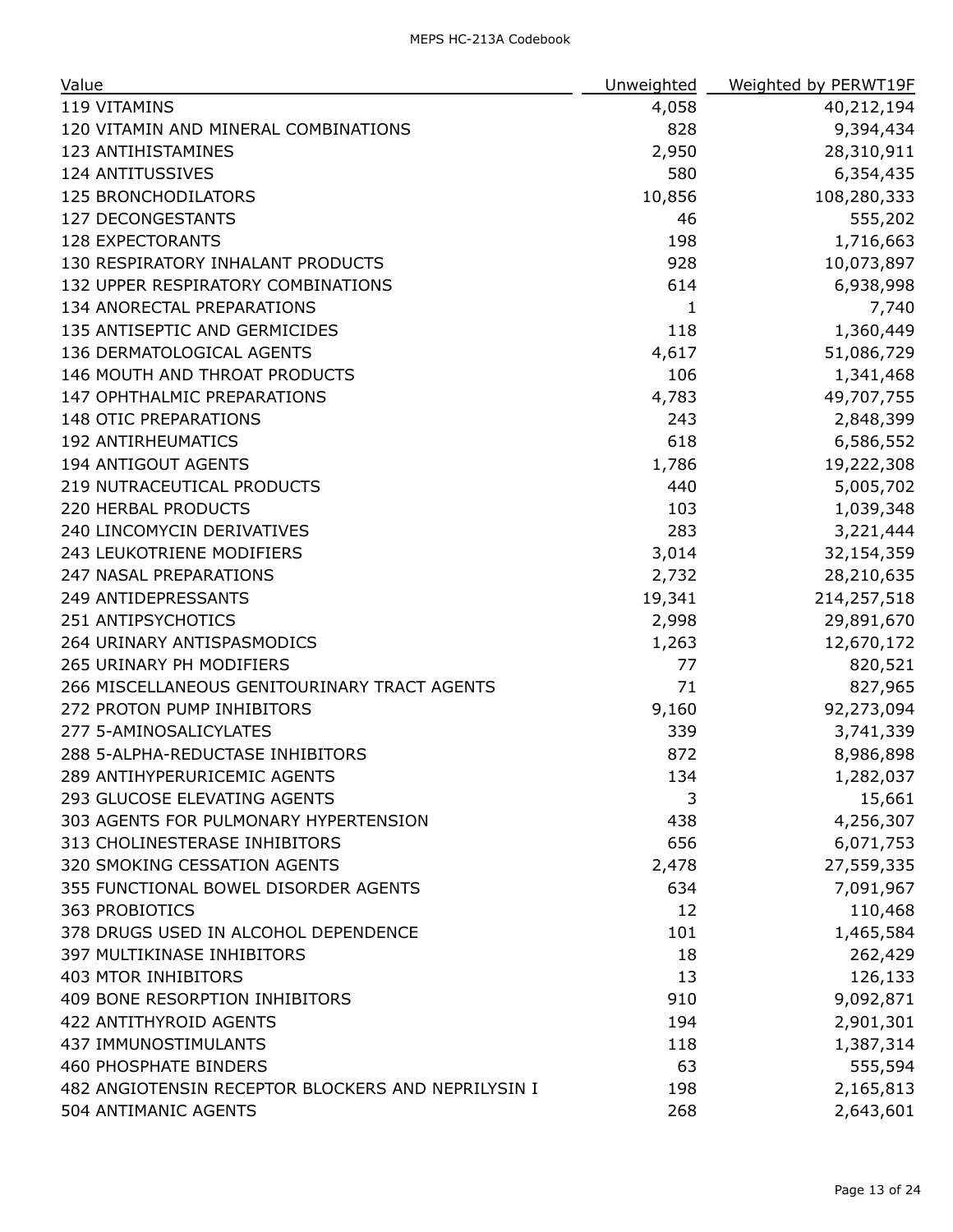| Value                                              | Unweighted | Weighted by PERWT19F |
|----------------------------------------------------|------------|----------------------|
| 119 VITAMINS                                       | 4,058      | 40,212,194           |
| 120 VITAMIN AND MINERAL COMBINATIONS               | 828        | 9,394,434            |
| 123 ANTIHISTAMINES                                 | 2,950      | 28,310,911           |
| 124 ANTITUSSIVES                                   | 580        | 6,354,435            |
| <b>125 BRONCHODILATORS</b>                         | 10,856     | 108,280,333          |
| <b>127 DECONGESTANTS</b>                           | 46         | 555,202              |
| <b>128 EXPECTORANTS</b>                            | 198        | 1,716,663            |
| 130 RESPIRATORY INHALANT PRODUCTS                  | 928        | 10,073,897           |
| 132 UPPER RESPIRATORY COMBINATIONS                 | 614        | 6,938,998            |
| 134 ANORECTAL PREPARATIONS                         | 1          | 7,740                |
| 135 ANTISEPTIC AND GERMICIDES                      | 118        | 1,360,449            |
| 136 DERMATOLOGICAL AGENTS                          | 4,617      | 51,086,729           |
| 146 MOUTH AND THROAT PRODUCTS                      | 106        | 1,341,468            |
| 147 OPHTHALMIC PREPARATIONS                        | 4,783      | 49,707,755           |
| <b>148 OTIC PREPARATIONS</b>                       | 243        | 2,848,399            |
| <b>192 ANTIRHEUMATICS</b>                          | 618        | 6,586,552            |
| 194 ANTIGOUT AGENTS                                | 1,786      | 19,222,308           |
| 219 NUTRACEUTICAL PRODUCTS                         | 440        | 5,005,702            |
| 220 HERBAL PRODUCTS                                | 103        | 1,039,348            |
| 240 LINCOMYCIN DERIVATIVES                         | 283        | 3,221,444            |
| 243 LEUKOTRIENE MODIFIERS                          | 3,014      | 32,154,359           |
| 247 NASAL PREPARATIONS                             | 2,732      | 28,210,635           |
| 249 ANTIDEPRESSANTS                                | 19,341     | 214,257,518          |
| 251 ANTIPSYCHOTICS                                 | 2,998      | 29,891,670           |
| 264 URINARY ANTISPASMODICS                         | 1,263      | 12,670,172           |
| 265 URINARY PH MODIFIERS                           | 77         | 820,521              |
| 266 MISCELLANEOUS GENITOURINARY TRACT AGENTS       | 71         | 827,965              |
| 272 PROTON PUMP INHIBITORS                         | 9,160      | 92,273,094           |
| 277 5-AMINOSALICYLATES                             | 339        | 3,741,339            |
| 288 5-ALPHA-REDUCTASE INHIBITORS                   | 872        | 8,986,898            |
| 289 ANTIHYPERURICEMIC AGENTS                       | 134        | 1,282,037            |
| 293 GLUCOSE ELEVATING AGENTS                       | 3          | 15,661               |
| 303 AGENTS FOR PULMONARY HYPERTENSION              | 438        | 4,256,307            |
| 313 CHOLINESTERASE INHIBITORS                      | 656        | 6,071,753            |
| 320 SMOKING CESSATION AGENTS                       | 2,478      | 27,559,335           |
| 355 FUNCTIONAL BOWEL DISORDER AGENTS               | 634        | 7,091,967            |
| 363 PROBIOTICS                                     | 12         | 110,468              |
| 378 DRUGS USED IN ALCOHOL DEPENDENCE               | 101        | 1,465,584            |
| <b>397 MULTIKINASE INHIBITORS</b>                  | 18         | 262,429              |
| <b>403 MTOR INHIBITORS</b>                         | 13         | 126,133              |
| 409 BONE RESORPTION INHIBITORS                     | 910        | 9,092,871            |
| 422 ANTITHYROID AGENTS                             | 194        | 2,901,301            |
| 437 IMMUNOSTIMULANTS                               | 118        | 1,387,314            |
| <b>460 PHOSPHATE BINDERS</b>                       | 63         | 555,594              |
| 482 ANGIOTENSIN RECEPTOR BLOCKERS AND NEPRILYSIN I | 198        | 2,165,813            |
| 504 ANTIMANIC AGENTS                               | 268        | 2,643,601            |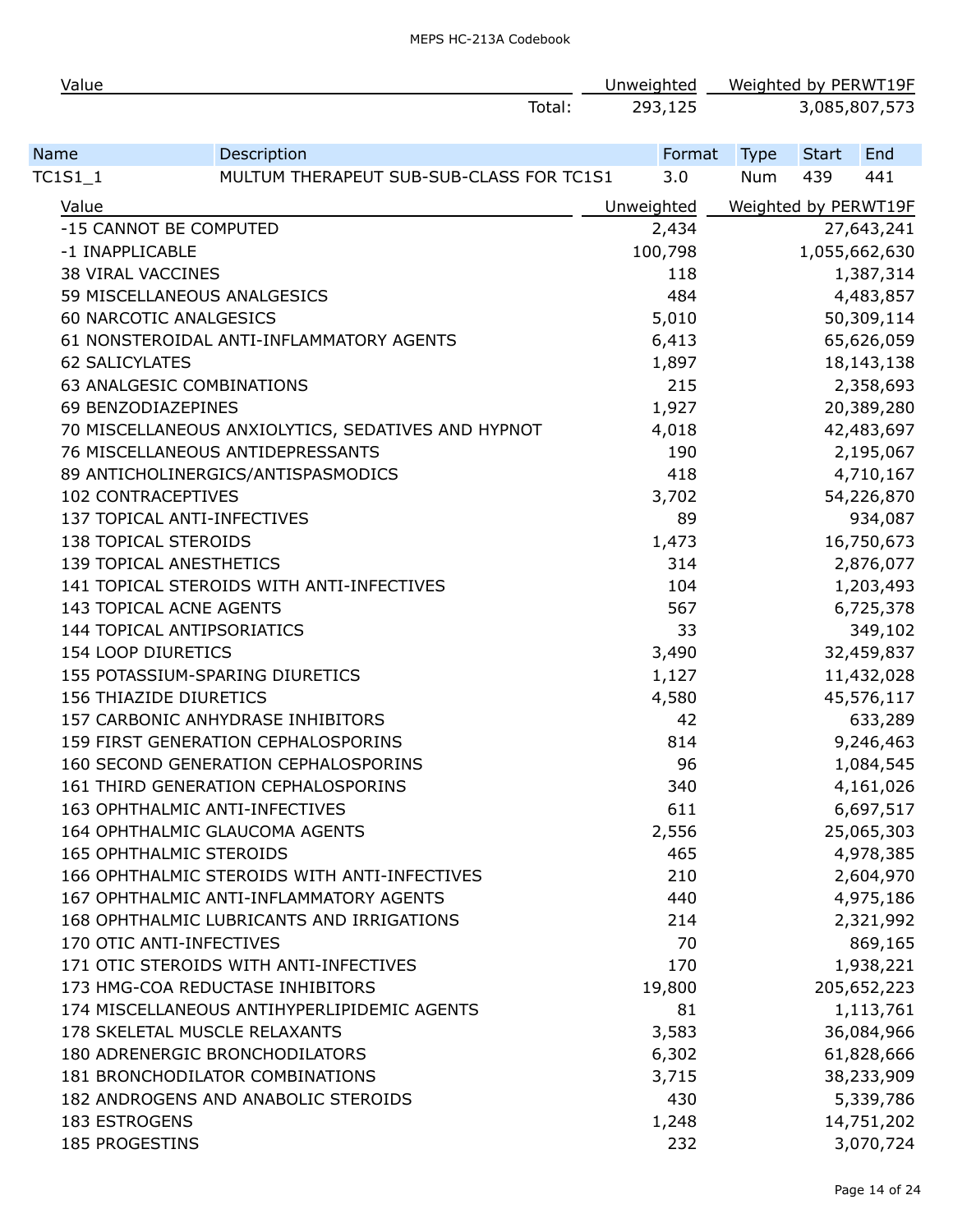| Value                     |                                                    | Unweighted |             |              | Weighted by PERWT19F |
|---------------------------|----------------------------------------------------|------------|-------------|--------------|----------------------|
|                           | Total:                                             | 293,125    |             |              | 3,085,807,573        |
| Name                      | Description                                        | Format     | <b>Type</b> | <b>Start</b> | End                  |
| TC1S1_1                   | MULTUM THERAPEUT SUB-SUB-CLASS FOR TC1S1           | 3.0        | <b>Num</b>  | 439          | 441                  |
| Value                     |                                                    | Unweighted |             |              | Weighted by PERWT19F |
|                           | -15 CANNOT BE COMPUTED                             | 2,434      |             |              | 27,643,241           |
| -1 INAPPLICABLE           |                                                    | 100,798    |             |              | 1,055,662,630        |
| <b>38 VIRAL VACCINES</b>  |                                                    | 118        |             |              | 1,387,314            |
|                           | 59 MISCELLANEOUS ANALGESICS                        | 484        |             |              | 4,483,857            |
|                           | 60 NARCOTIC ANALGESICS                             | 5,010      |             |              | 50,309,114           |
|                           | 61 NONSTEROIDAL ANTI-INFLAMMATORY AGENTS           | 6,413      |             |              | 65,626,059           |
| <b>62 SALICYLATES</b>     |                                                    | 1,897      |             |              | 18, 143, 138         |
|                           | 63 ANALGESIC COMBINATIONS                          | 215        |             |              | 2,358,693            |
| 69 BENZODIAZEPINES        |                                                    | 1,927      |             |              | 20,389,280           |
|                           | 70 MISCELLANEOUS ANXIOLYTICS, SEDATIVES AND HYPNOT | 4,018      |             |              | 42,483,697           |
|                           | 76 MISCELLANEOUS ANTIDEPRESSANTS                   | 190        |             |              | 2,195,067            |
|                           | 89 ANTICHOLINERGICS/ANTISPASMODICS                 | 418        |             |              | 4,710,167            |
| <b>102 CONTRACEPTIVES</b> |                                                    | 3,702      |             |              | 54,226,870           |
|                           | 137 TOPICAL ANTI-INFECTIVES                        | 89         |             |              | 934,087              |
| 138 TOPICAL STEROIDS      |                                                    | 1,473      |             |              | 16,750,673           |
|                           | 139 TOPICAL ANESTHETICS                            | 314        |             |              | 2,876,077            |
|                           | 141 TOPICAL STEROIDS WITH ANTI-INFECTIVES          | 104        |             |              | 1,203,493            |
|                           | 143 TOPICAL ACNE AGENTS                            | 567        |             |              | 6,725,378            |
|                           | 144 TOPICAL ANTIPSORIATICS                         | 33         |             |              | 349,102              |
| 154 LOOP DIURETICS        |                                                    | 3,490      |             |              | 32,459,837           |
|                           | 155 POTASSIUM-SPARING DIURETICS                    | 1,127      |             |              | 11,432,028           |
| 156 THIAZIDE DIURETICS    |                                                    | 4,580      |             |              | 45,576,117           |
|                           | 157 CARBONIC ANHYDRASE INHIBITORS                  | 42         |             |              | 633,289              |
|                           | 159 FIRST GENERATION CEPHALOSPORINS                | 814        |             |              | 9,246,463            |
|                           | 160 SECOND GENERATION CEPHALOSPORINS               | 96         |             |              | 1,084,545            |
|                           | 161 THIRD GENERATION CEPHALOSPORINS                | 340        |             |              | 4,161,026            |
|                           | 163 OPHTHALMIC ANTI-INFECTIVES                     | 611        |             |              | 6,697,517            |
|                           | 164 OPHTHALMIC GLAUCOMA AGENTS                     | 2,556      |             |              | 25,065,303           |
|                           | <b>165 OPHTHALMIC STEROIDS</b>                     | 465        |             |              | 4,978,385            |
|                           | 166 OPHTHALMIC STEROIDS WITH ANTI-INFECTIVES       | 210        |             |              | 2,604,970            |
|                           | 167 OPHTHALMIC ANTI-INFLAMMATORY AGENTS            | 440        |             |              | 4,975,186            |
|                           | 168 OPHTHALMIC LUBRICANTS AND IRRIGATIONS          | 214        |             |              | 2,321,992            |
|                           | 170 OTIC ANTI-INFECTIVES                           | 70         |             |              | 869,165              |
|                           | 171 OTIC STEROIDS WITH ANTI-INFECTIVES             | 170        |             |              | 1,938,221            |
|                           | 173 HMG-COA REDUCTASE INHIBITORS                   | 19,800     |             |              | 205,652,223          |
|                           | 174 MISCELLANEOUS ANTIHYPERLIPIDEMIC AGENTS        | 81         |             |              | 1,113,761            |
|                           | 178 SKELETAL MUSCLE RELAXANTS                      | 3,583      |             |              | 36,084,966           |
|                           | 180 ADRENERGIC BRONCHODILATORS                     | 6,302      |             |              | 61,828,666           |
|                           | 181 BRONCHODILATOR COMBINATIONS                    | 3,715      |             |              | 38,233,909           |
|                           | 182 ANDROGENS AND ANABOLIC STEROIDS                | 430        |             |              | 5,339,786            |
| <b>183 ESTROGENS</b>      |                                                    | 1,248      |             |              | 14,751,202           |
| 185 PROGESTINS            |                                                    | 232        |             |              | 3,070,724            |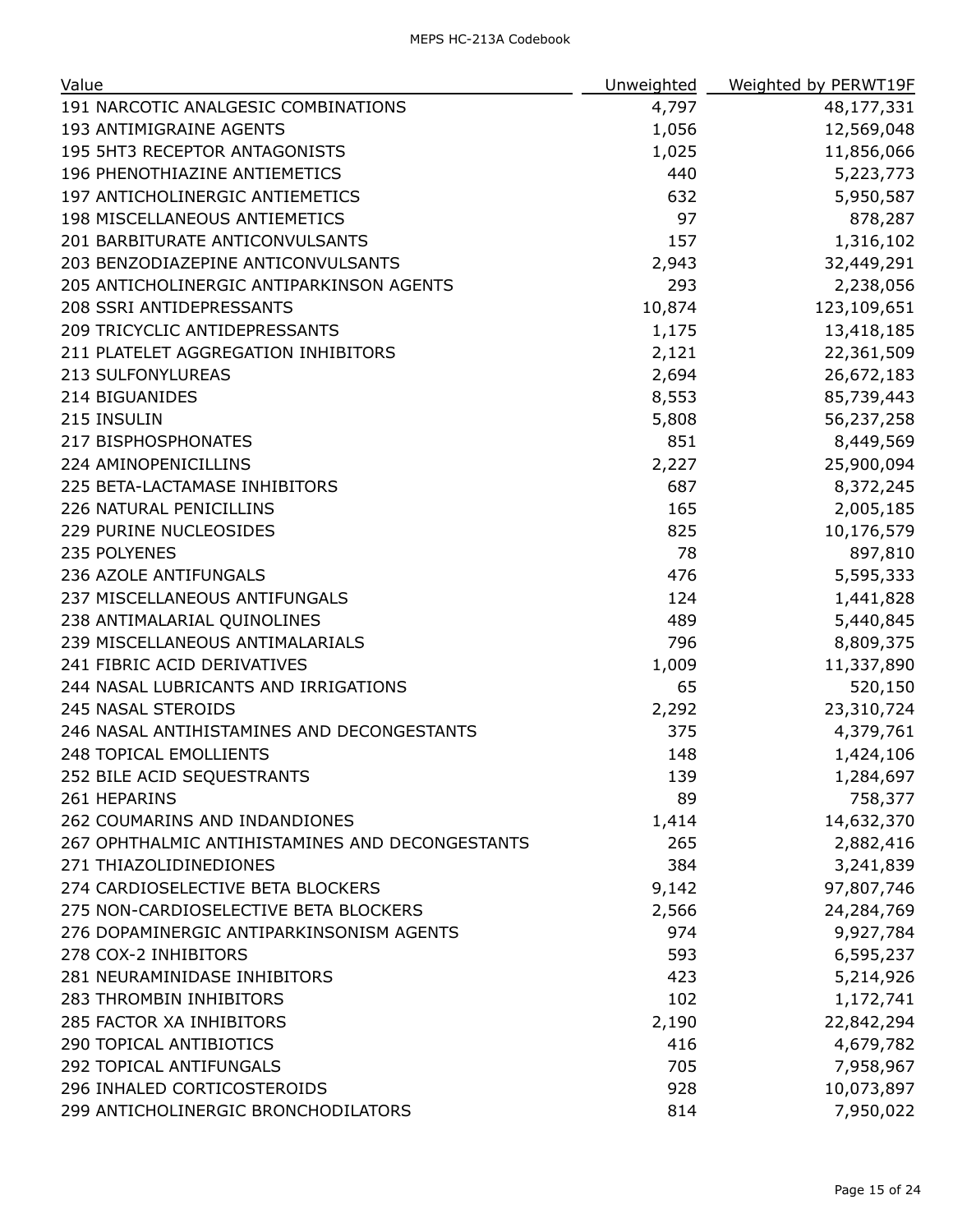| Value                                           | Unweighted | Weighted by PERWT19F |
|-------------------------------------------------|------------|----------------------|
| 191 NARCOTIC ANALGESIC COMBINATIONS             | 4,797      | 48,177,331           |
| 193 ANTIMIGRAINE AGENTS                         | 1,056      | 12,569,048           |
| 195 5HT3 RECEPTOR ANTAGONISTS                   | 1,025      | 11,856,066           |
| 196 PHENOTHIAZINE ANTIEMETICS                   | 440        | 5,223,773            |
| 197 ANTICHOLINERGIC ANTIEMETICS                 | 632        | 5,950,587            |
| 198 MISCELLANEOUS ANTIEMETICS                   | 97         | 878,287              |
| 201 BARBITURATE ANTICONVULSANTS                 | 157        | 1,316,102            |
| 203 BENZODIAZEPINE ANTICONVULSANTS              | 2,943      | 32,449,291           |
| 205 ANTICHOLINERGIC ANTIPARKINSON AGENTS        | 293        | 2,238,056            |
| 208 SSRI ANTIDEPRESSANTS                        | 10,874     | 123,109,651          |
| 209 TRICYCLIC ANTIDEPRESSANTS                   | 1,175      | 13,418,185           |
| 211 PLATELET AGGREGATION INHIBITORS             | 2,121      | 22,361,509           |
| 213 SULFONYLUREAS                               | 2,694      | 26,672,183           |
| 214 BIGUANIDES                                  | 8,553      | 85,739,443           |
| 215 INSULIN                                     | 5,808      | 56,237,258           |
| 217 BISPHOSPHONATES                             | 851        | 8,449,569            |
| 224 AMINOPENICILLINS                            | 2,227      | 25,900,094           |
| 225 BETA-LACTAMASE INHIBITORS                   | 687        | 8,372,245            |
| 226 NATURAL PENICILLINS                         | 165        | 2,005,185            |
| 229 PURINE NUCLEOSIDES                          | 825        | 10,176,579           |
| 235 POLYENES                                    | 78         | 897,810              |
| 236 AZOLE ANTIFUNGALS                           | 476        | 5,595,333            |
| 237 MISCELLANEOUS ANTIFUNGALS                   | 124        | 1,441,828            |
| 238 ANTIMALARIAL QUINOLINES                     | 489        | 5,440,845            |
| 239 MISCELLANEOUS ANTIMALARIALS                 | 796        | 8,809,375            |
| 241 FIBRIC ACID DERIVATIVES                     | 1,009      | 11,337,890           |
| 244 NASAL LUBRICANTS AND IRRIGATIONS            | 65         | 520,150              |
| 245 NASAL STEROIDS                              | 2,292      | 23,310,724           |
| 246 NASAL ANTIHISTAMINES AND DECONGESTANTS      | 375        | 4,379,761            |
| 248 TOPICAL EMOLLIENTS                          | 148        | 1,424,106            |
| 252 BILE ACID SEQUESTRANTS                      | 139        | 1,284,697            |
| 261 HEPARINS                                    | 89         | 758,377              |
| 262 COUMARINS AND INDANDIONES                   | 1,414      | 14,632,370           |
| 267 OPHTHALMIC ANTIHISTAMINES AND DECONGESTANTS | 265        | 2,882,416            |
| 271 THIAZOLIDINEDIONES                          | 384        | 3,241,839            |
| 274 CARDIOSELECTIVE BETA BLOCKERS               | 9,142      | 97,807,746           |
| 275 NON-CARDIOSELECTIVE BETA BLOCKERS           | 2,566      | 24,284,769           |
| 276 DOPAMINERGIC ANTIPARKINSONISM AGENTS        | 974        | 9,927,784            |
| 278 COX-2 INHIBITORS                            | 593        | 6,595,237            |
| 281 NEURAMINIDASE INHIBITORS                    | 423        | 5,214,926            |
| 283 THROMBIN INHIBITORS                         | 102        | 1,172,741            |
| 285 FACTOR XA INHIBITORS                        | 2,190      | 22,842,294           |
| 290 TOPICAL ANTIBIOTICS                         | 416        | 4,679,782            |
| 292 TOPICAL ANTIFUNGALS                         | 705        | 7,958,967            |
| 296 INHALED CORTICOSTEROIDS                     | 928        | 10,073,897           |
| 299 ANTICHOLINERGIC BRONCHODILATORS             | 814        | 7,950,022            |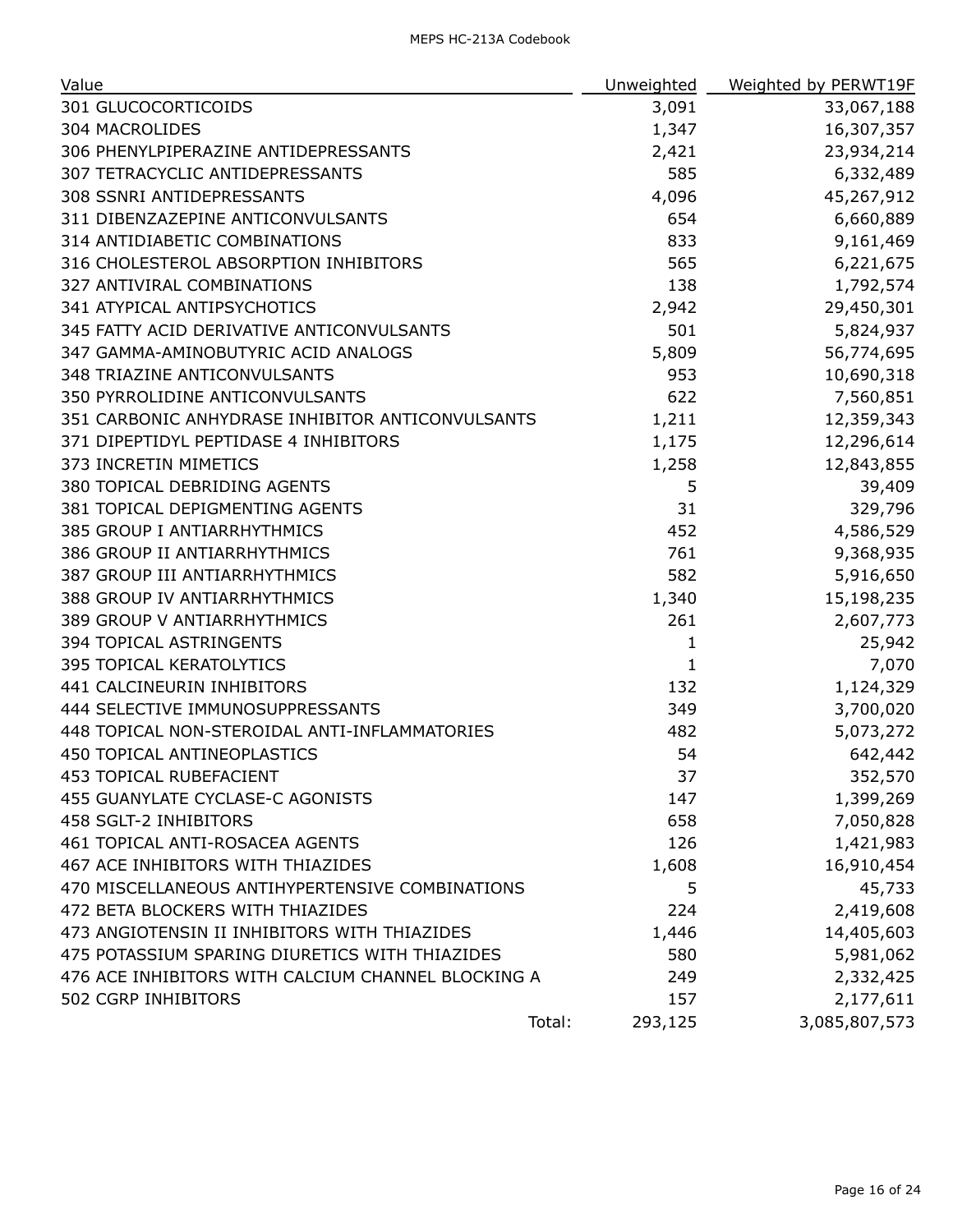| Value                                              | Unweighted        | Weighted by PERWT19F |
|----------------------------------------------------|-------------------|----------------------|
| 301 GLUCOCORTICOIDS                                | 3,091             | 33,067,188           |
| <b>304 MACROLIDES</b>                              | 1,347             | 16,307,357           |
| 306 PHENYLPIPERAZINE ANTIDEPRESSANTS               | 2,421             | 23,934,214           |
| 307 TETRACYCLIC ANTIDEPRESSANTS                    | 585               | 6,332,489            |
| 308 SSNRI ANTIDEPRESSANTS                          | 4,096             | 45,267,912           |
| 311 DIBENZAZEPINE ANTICONVULSANTS                  | 654               | 6,660,889            |
| 314 ANTIDIABETIC COMBINATIONS                      | 833               | 9,161,469            |
| 316 CHOLESTEROL ABSORPTION INHIBITORS              | 565               | 6,221,675            |
| 327 ANTIVIRAL COMBINATIONS                         | 138               | 1,792,574            |
| 341 ATYPICAL ANTIPSYCHOTICS                        | 2,942             | 29,450,301           |
| 345 FATTY ACID DERIVATIVE ANTICONVULSANTS          | 501               | 5,824,937            |
| 347 GAMMA-AMINOBUTYRIC ACID ANALOGS                | 5,809             | 56,774,695           |
| 348 TRIAZINE ANTICONVULSANTS                       | 953               | 10,690,318           |
| 350 PYRROLIDINE ANTICONVULSANTS                    | 622               | 7,560,851            |
| 351 CARBONIC ANHYDRASE INHIBITOR ANTICONVULSANTS   | 1,211             | 12,359,343           |
| 371 DIPEPTIDYL PEPTIDASE 4 INHIBITORS              | 1,175             | 12,296,614           |
| 373 INCRETIN MIMETICS                              | 1,258             | 12,843,855           |
| 380 TOPICAL DEBRIDING AGENTS                       | 5                 | 39,409               |
| 381 TOPICAL DEPIGMENTING AGENTS                    | 31                | 329,796              |
| 385 GROUP I ANTIARRHYTHMICS                        | 452               | 4,586,529            |
| 386 GROUP II ANTIARRHYTHMICS                       | 761               | 9,368,935            |
| 387 GROUP III ANTIARRHYTHMICS                      | 582               | 5,916,650            |
| 388 GROUP IV ANTIARRHYTHMICS                       | 1,340             | 15,198,235           |
| 389 GROUP V ANTIARRHYTHMICS                        | 261               | 2,607,773            |
| 394 TOPICAL ASTRINGENTS                            | 1                 | 25,942               |
| 395 TOPICAL KERATOLYTICS                           | 1                 | 7,070                |
| 441 CALCINEURIN INHIBITORS                         | 132               | 1,124,329            |
| 444 SELECTIVE IMMUNOSUPPRESSANTS                   | 349               | 3,700,020            |
| 448 TOPICAL NON-STEROIDAL ANTI-INFLAMMATORIES      | 482               | 5,073,272            |
| 450 TOPICAL ANTINEOPLASTICS                        | 54                | 642,442              |
| 453 TOPICAL RUBEFACIENT                            | 37                | 352,570              |
| 455 GUANYLATE CYCLASE-C AGONISTS                   | 147               | 1,399,269            |
| 458 SGLT-2 INHIBITORS                              | 658               | 7,050,828            |
| 461 TOPICAL ANTI-ROSACEA AGENTS                    | 126               | 1,421,983            |
| 467 ACE INHIBITORS WITH THIAZIDES                  | 1,608             | 16,910,454           |
| 470 MISCELLANEOUS ANTIHYPERTENSIVE COMBINATIONS    | 5                 | 45,733               |
| 472 BETA BLOCKERS WITH THIAZIDES                   | 224               | 2,419,608            |
| 473 ANGIOTENSIN II INHIBITORS WITH THIAZIDES       | 1,446             | 14,405,603           |
| 475 POTASSIUM SPARING DIURETICS WITH THIAZIDES     | 580               | 5,981,062            |
| 476 ACE INHIBITORS WITH CALCIUM CHANNEL BLOCKING A | 249               | 2,332,425            |
| 502 CGRP INHIBITORS                                | 157               | 2,177,611            |
|                                                    | Total:<br>293,125 | 3,085,807,573        |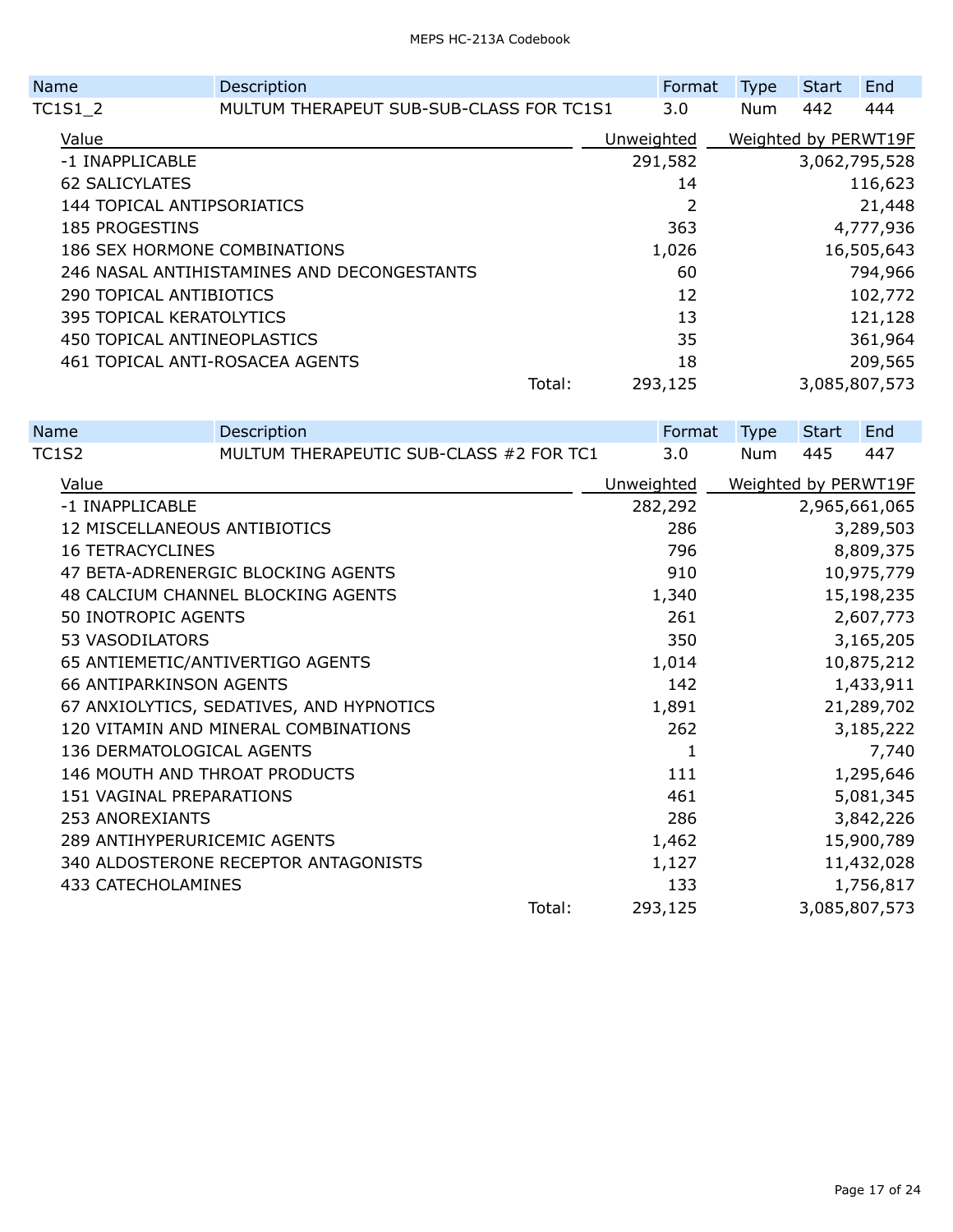|                            | Name                            | Description                                |        | Format              | <b>Type</b> | <b>Start</b> | End                  |
|----------------------------|---------------------------------|--------------------------------------------|--------|---------------------|-------------|--------------|----------------------|
|                            | TC1S1 2                         | MULTUM THERAPEUT SUB-SUB-CLASS FOR TC1S1   |        | 3.0                 | <b>Num</b>  | 442          | 444                  |
|                            | Value                           |                                            |        | Unweighted          |             |              | Weighted by PERWT19F |
|                            | -1 INAPPLICABLE                 |                                            |        | 291,582             |             |              | 3,062,795,528        |
|                            | <b>62 SALICYLATES</b>           |                                            |        | 14                  |             |              | 116,623              |
| 144 TOPICAL ANTIPSORIATICS |                                 |                                            |        | 2                   |             |              | 21,448               |
| <b>185 PROGESTINS</b>      |                                 |                                            |        | 363                 | 4,777,936   |              |                      |
|                            | 186 SEX HORMONE COMBINATIONS    |                                            |        | 16,505,643<br>1,026 |             |              |                      |
|                            |                                 | 246 NASAL ANTIHISTAMINES AND DECONGESTANTS |        | 60                  |             |              | 794,966              |
|                            | 290 TOPICAL ANTIBIOTICS         |                                            |        | 12                  |             |              | 102,772              |
|                            | <b>395 TOPICAL KERATOLYTICS</b> |                                            |        | 13                  |             |              | 121,128              |
|                            | 450 TOPICAL ANTINEOPLASTICS     |                                            |        | 35                  |             |              | 361,964              |
|                            | 461 TOPICAL ANTI-ROSACEA AGENTS |                                            |        | 18                  |             |              | 209,565              |
|                            |                                 |                                            | Total: | 293,125             |             |              | 3,085,807,573        |
|                            |                                 |                                            |        |                     |             |              |                      |

| <b>Name</b>  | Description                              |                                         |        | Format     | <b>Type</b> | <b>Start</b>         | End           |
|--------------|------------------------------------------|-----------------------------------------|--------|------------|-------------|----------------------|---------------|
| <b>TC1S2</b> |                                          | MULTUM THERAPEUTIC SUB-CLASS #2 FOR TC1 |        | 3.0        | <b>Num</b>  | 445                  | 447           |
| Value        |                                          |                                         |        | Unweighted |             | Weighted by PERWT19F |               |
|              | -1 INAPPLICABLE                          |                                         |        | 282,292    |             |                      | 2,965,661,065 |
|              | 12 MISCELLANEOUS ANTIBIOTICS             |                                         |        | 286        |             |                      | 3,289,503     |
|              | <b>16 TETRACYCLINES</b>                  |                                         |        | 796        |             |                      | 8,809,375     |
|              | 47 BETA-ADRENERGIC BLOCKING AGENTS       |                                         |        | 910        |             |                      | 10,975,779    |
|              | 48 CALCIUM CHANNEL BLOCKING AGENTS       |                                         |        | 1,340      |             |                      | 15,198,235    |
|              | 50 INOTROPIC AGENTS                      |                                         |        | 261        |             |                      | 2,607,773     |
|              | 53 VASODILATORS                          |                                         |        | 350        |             |                      | 3,165,205     |
|              | 65 ANTIEMETIC/ANTIVERTIGO AGENTS         |                                         |        | 1,014      |             |                      | 10,875,212    |
|              | <b>66 ANTIPARKINSON AGENTS</b>           |                                         |        | 142        |             |                      | 1,433,911     |
|              | 67 ANXIOLYTICS, SEDATIVES, AND HYPNOTICS |                                         |        | 1,891      |             |                      | 21,289,702    |
|              | 120 VITAMIN AND MINERAL COMBINATIONS     |                                         |        | 262        |             |                      | 3,185,222     |
|              | 136 DERMATOLOGICAL AGENTS                |                                         |        |            | 1           |                      | 7,740         |
|              | 146 MOUTH AND THROAT PRODUCTS            |                                         |        | 111        |             |                      | 1,295,646     |
|              | 151 VAGINAL PREPARATIONS                 |                                         |        | 461        |             |                      | 5,081,345     |
|              | <b>253 ANOREXIANTS</b>                   |                                         |        | 286        |             |                      | 3,842,226     |
|              | 289 ANTIHYPERURICEMIC AGENTS             |                                         |        | 1,462      |             |                      | 15,900,789    |
|              | 340 ALDOSTERONE RECEPTOR ANTAGONISTS     |                                         |        | 1,127      |             |                      | 11,432,028    |
|              | 433 CATECHOLAMINES                       |                                         |        | 133        |             |                      | 1,756,817     |
|              |                                          |                                         | Total: | 293,125    |             |                      | 3,085,807,573 |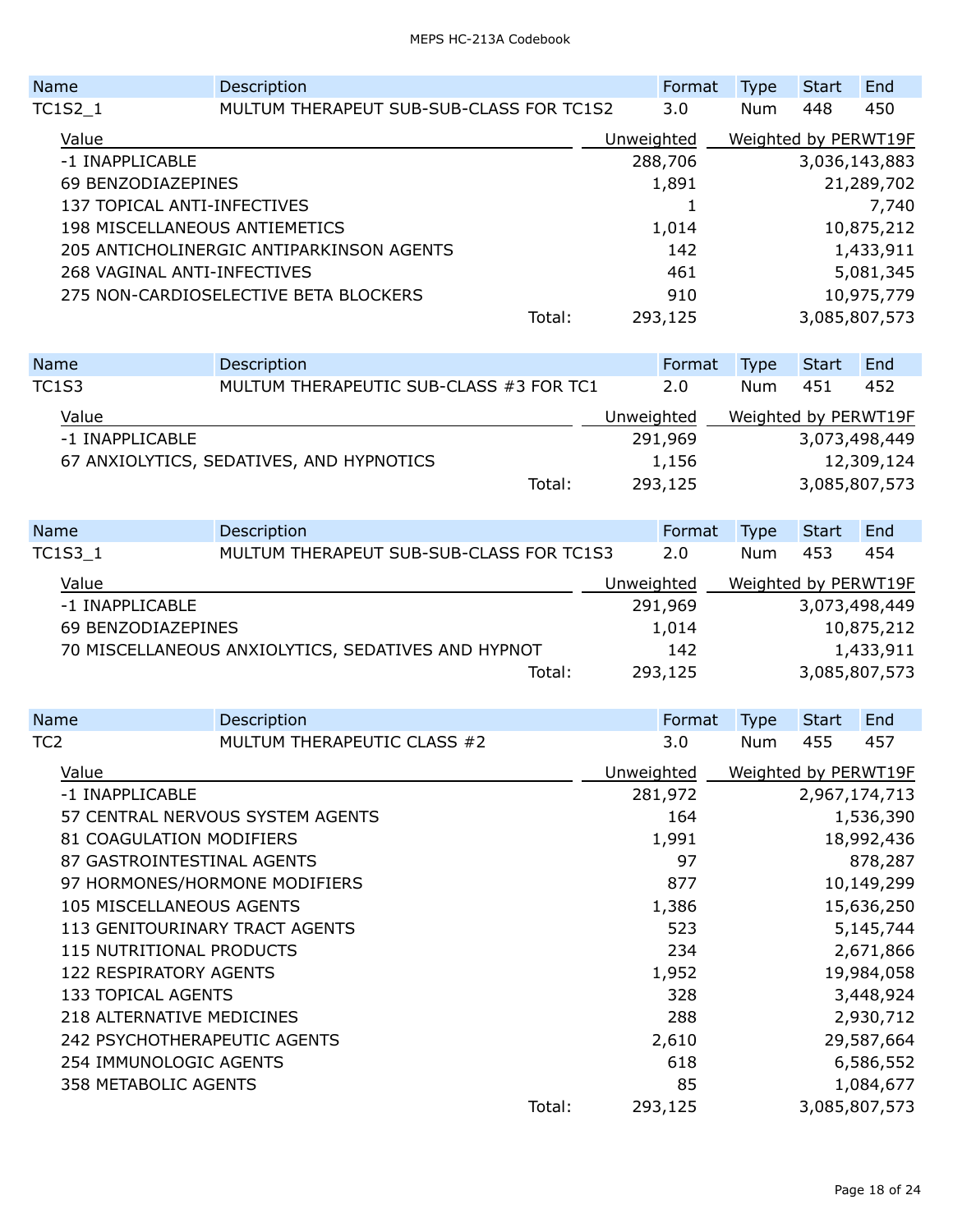| Name                          | Description                              |        |            | Format  | <b>Type</b>          | <b>Start</b> | End           |
|-------------------------------|------------------------------------------|--------|------------|---------|----------------------|--------------|---------------|
| TC1S2 1                       | MULTUM THERAPEUT SUB-SUB-CLASS FOR TC1S2 |        |            | 3.0     | <b>Num</b>           | 448          | 450           |
| Value                         |                                          |        | Unweighted |         | Weighted by PERWT19F |              |               |
| -1 INAPPLICABLE               |                                          |        |            | 288,706 |                      |              | 3,036,143,883 |
| 69 BENZODIAZEPINES            |                                          |        | 1,891      |         |                      |              | 21,289,702    |
| 137 TOPICAL ANTI-INFECTIVES   |                                          |        |            |         |                      |              | 7,740         |
| 198 MISCELLANEOUS ANTIEMETICS |                                          |        |            | 1,014   |                      |              | 10,875,212    |
|                               | 205 ANTICHOLINERGIC ANTIPARKINSON AGENTS |        |            | 142     |                      |              | 1,433,911     |
| 268 VAGINAL ANTI-INFECTIVES   |                                          |        |            | 461     |                      |              | 5,081,345     |
|                               | 275 NON-CARDIOSELECTIVE BETA BLOCKERS    |        | 910        |         |                      |              | 10,975,779    |
|                               |                                          | Total: |            | 293,125 |                      |              | 3,085,807,573 |
|                               |                                          |        |            |         |                      |              |               |

| <b>Name</b>                              |                 | Description                             |        | Format     | <b>Type</b>          | <b>Start</b> | End           |
|------------------------------------------|-----------------|-----------------------------------------|--------|------------|----------------------|--------------|---------------|
| <b>TC1S3</b>                             |                 | MULTUM THERAPEUTIC SUB-CLASS #3 FOR TC1 |        | 2.0        | Num                  | 451          | 452           |
|                                          | Value           |                                         |        | Unweighted | Weighted by PERWT19F |              |               |
|                                          | -1 INAPPLICABLE |                                         |        | 291,969    |                      |              | 3,073,498,449 |
| 67 ANXIOLYTICS, SEDATIVES, AND HYPNOTICS |                 |                                         | 1,156  |            |                      | 12,309,124   |               |
|                                          |                 |                                         | Total: | 293,125    |                      |              | 3,085,807,573 |

| Name                                               | Description                              |            | Format  | <b>Type</b>          | Start         | End        |
|----------------------------------------------------|------------------------------------------|------------|---------|----------------------|---------------|------------|
| <b>TC1S3 1</b>                                     | MULTUM THERAPEUT SUB-SUB-CLASS FOR TC1S3 |            | 2.0     | <b>Num</b>           | 453           | 454        |
| Value                                              |                                          | Unweighted |         | Weighted by PERWT19F |               |            |
| -1 INAPPLICABLE                                    |                                          |            | 291,969 |                      | 3,073,498,449 |            |
| 69 BENZODIAZEPINES                                 |                                          |            | 1,014   |                      |               | 10,875,212 |
| 70 MISCELLANEOUS ANXIOLYTICS, SEDATIVES AND HYPNOT |                                          |            | 142     |                      |               | 1,433,911  |
|                                                    | Total:                                   |            | 293,125 |                      | 3,085,807,573 |            |

| Name                   |                                 | Description                      |        | Format     |  | <b>Type</b>   | <b>Start</b> | End                  |
|------------------------|---------------------------------|----------------------------------|--------|------------|--|---------------|--------------|----------------------|
| TC2                    |                                 | MULTUM THERAPEUTIC CLASS #2      |        | 3.0        |  | <b>Num</b>    | 455          | 457                  |
| Value                  |                                 |                                  |        | Unweighted |  |               |              | Weighted by PERWT19F |
|                        | -1 INAPPLICABLE                 |                                  |        | 281,972    |  | 2,967,174,713 |              |                      |
|                        |                                 | 57 CENTRAL NERVOUS SYSTEM AGENTS |        | 164        |  | 1,536,390     |              |                      |
|                        | 81 COAGULATION MODIFIERS        |                                  | 1,991  |            |  |               | 18,992,436   |                      |
|                        | 87 GASTROINTESTINAL AGENTS      |                                  | 97     |            |  |               | 878,287      |                      |
|                        |                                 | 97 HORMONES/HORMONE MODIFIERS    |        | 877        |  |               |              | 10,149,299           |
|                        | 105 MISCELLANEOUS AGENTS        |                                  |        | 1,386      |  |               |              | 15,636,250           |
|                        | 113 GENITOURINARY TRACT AGENTS  |                                  |        | 523        |  |               |              | 5,145,744            |
|                        | <b>115 NUTRITIONAL PRODUCTS</b> |                                  |        | 234        |  |               |              | 2,671,866            |
|                        | <b>122 RESPIRATORY AGENTS</b>   |                                  |        | 1,952      |  |               |              | 19,984,058           |
|                        | <b>133 TOPICAL AGENTS</b>       |                                  |        | 328        |  |               |              | 3,448,924            |
|                        | 218 ALTERNATIVE MEDICINES       |                                  |        | 288        |  |               |              | 2,930,712            |
|                        | 242 PSYCHOTHERAPEUTIC AGENTS    |                                  |        | 2,610      |  |               |              | 29,587,664           |
| 254 IMMUNOLOGIC AGENTS |                                 |                                  |        | 618        |  |               |              | 6,586,552            |
| 358 METABOLIC AGENTS   |                                 |                                  |        | 85         |  |               |              | 1,084,677            |
|                        |                                 |                                  | Total: | 293,125    |  |               |              | 3,085,807,573        |
|                        |                                 |                                  |        |            |  |               |              |                      |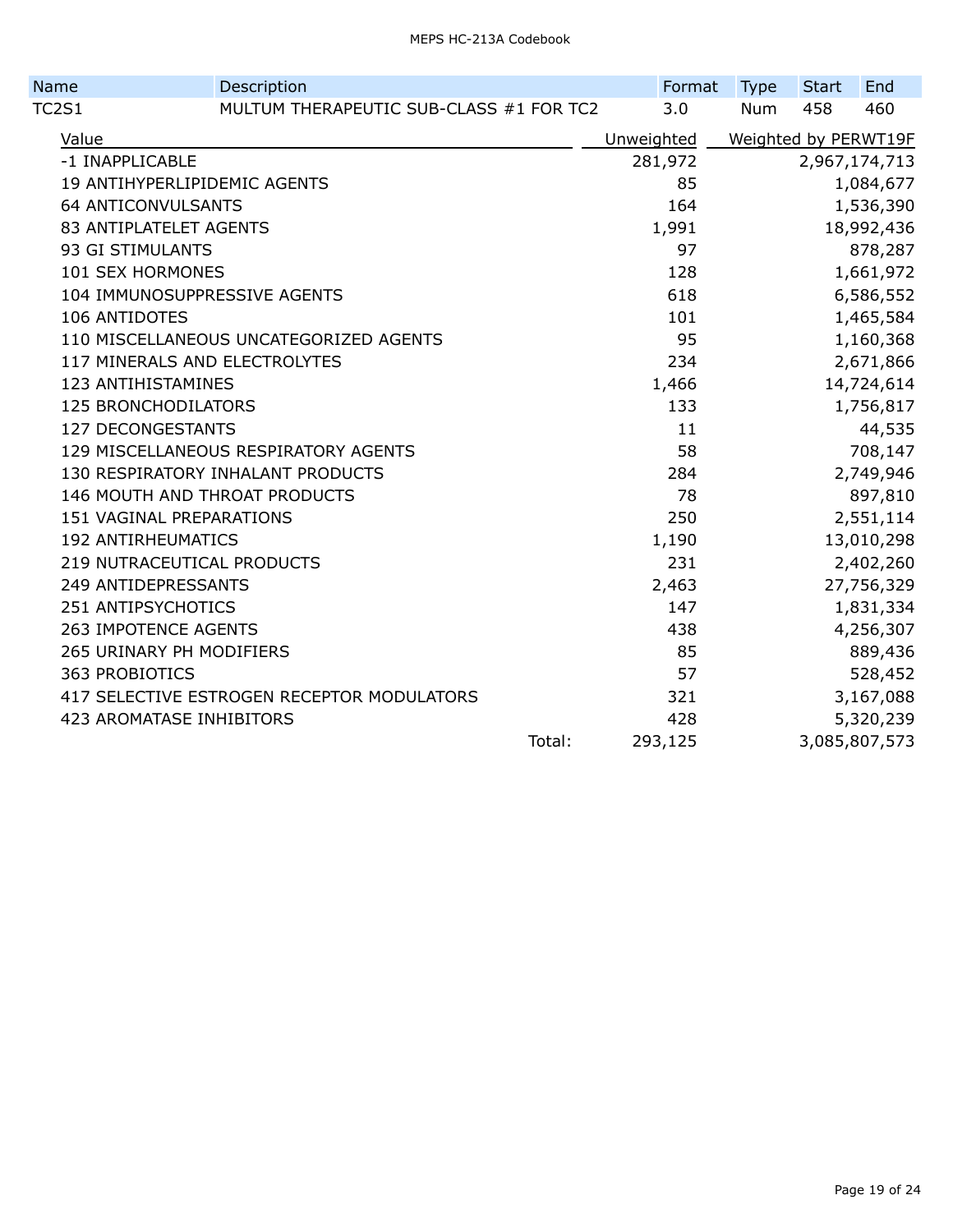| Name                            | Description                                |        | Format     | <b>Type</b> | <b>Start</b> | End                  |
|---------------------------------|--------------------------------------------|--------|------------|-------------|--------------|----------------------|
| <b>TC2S1</b>                    | MULTUM THERAPEUTIC SUB-CLASS #1 FOR TC2    |        | 3.0        | <b>Num</b>  | 458          | 460                  |
| Value                           |                                            |        | Unweighted |             |              | Weighted by PERWT19F |
| -1 INAPPLICABLE                 |                                            |        | 281,972    |             |              | 2,967,174,713        |
| 19 ANTIHYPERLIPIDEMIC AGENTS    |                                            |        | 85         |             |              | 1,084,677            |
| <b>64 ANTICONVULSANTS</b>       |                                            |        | 164        |             |              | 1,536,390            |
| 83 ANTIPLATELET AGENTS          |                                            |        | 1,991      |             |              | 18,992,436           |
| 93 GI STIMULANTS                |                                            |        | 97         |             |              | 878,287              |
| 101 SEX HORMONES                |                                            |        | 128        |             |              | 1,661,972            |
| 104 IMMUNOSUPPRESSIVE AGENTS    |                                            |        | 618        |             |              | 6,586,552            |
| <b>106 ANTIDOTES</b>            |                                            |        | 101        |             |              | 1,465,584            |
|                                 | 110 MISCELLANEOUS UNCATEGORIZED AGENTS     |        | 95         |             |              | 1,160,368            |
| 117 MINERALS AND ELECTROLYTES   |                                            |        | 234        |             |              | 2,671,866            |
| 123 ANTIHISTAMINES              |                                            |        | 1,466      |             |              | 14,724,614           |
| <b>125 BRONCHODILATORS</b>      |                                            |        | 133        |             |              | 1,756,817            |
| <b>127 DECONGESTANTS</b>        |                                            |        | 11         |             |              | 44,535               |
|                                 | 129 MISCELLANEOUS RESPIRATORY AGENTS       |        | 58         |             |              | 708,147              |
|                                 | 130 RESPIRATORY INHALANT PRODUCTS          |        | 284        |             |              | 2,749,946            |
|                                 | 146 MOUTH AND THROAT PRODUCTS              |        | 78         |             |              | 897,810              |
| 151 VAGINAL PREPARATIONS        |                                            |        | 250        |             |              | 2,551,114            |
| <b>192 ANTIRHEUMATICS</b>       |                                            |        | 1,190      |             |              | 13,010,298           |
| 219 NUTRACEUTICAL PRODUCTS      |                                            |        | 231        |             |              | 2,402,260            |
| 249 ANTIDEPRESSANTS             |                                            |        | 2,463      |             |              | 27,756,329           |
| 251 ANTIPSYCHOTICS              |                                            |        | 147        |             |              | 1,831,334            |
| <b>263 IMPOTENCE AGENTS</b>     |                                            |        | 438        |             |              | 4,256,307            |
| 265 URINARY PH MODIFIERS        |                                            |        | 85         |             |              | 889,436              |
| 363 PROBIOTICS                  |                                            |        | 57         |             |              | 528,452              |
|                                 | 417 SELECTIVE ESTROGEN RECEPTOR MODULATORS |        | 321        |             |              | 3,167,088            |
| <b>423 AROMATASE INHIBITORS</b> |                                            |        | 428        |             |              | 5,320,239            |
|                                 |                                            | Total: | 293,125    |             |              | 3,085,807,573        |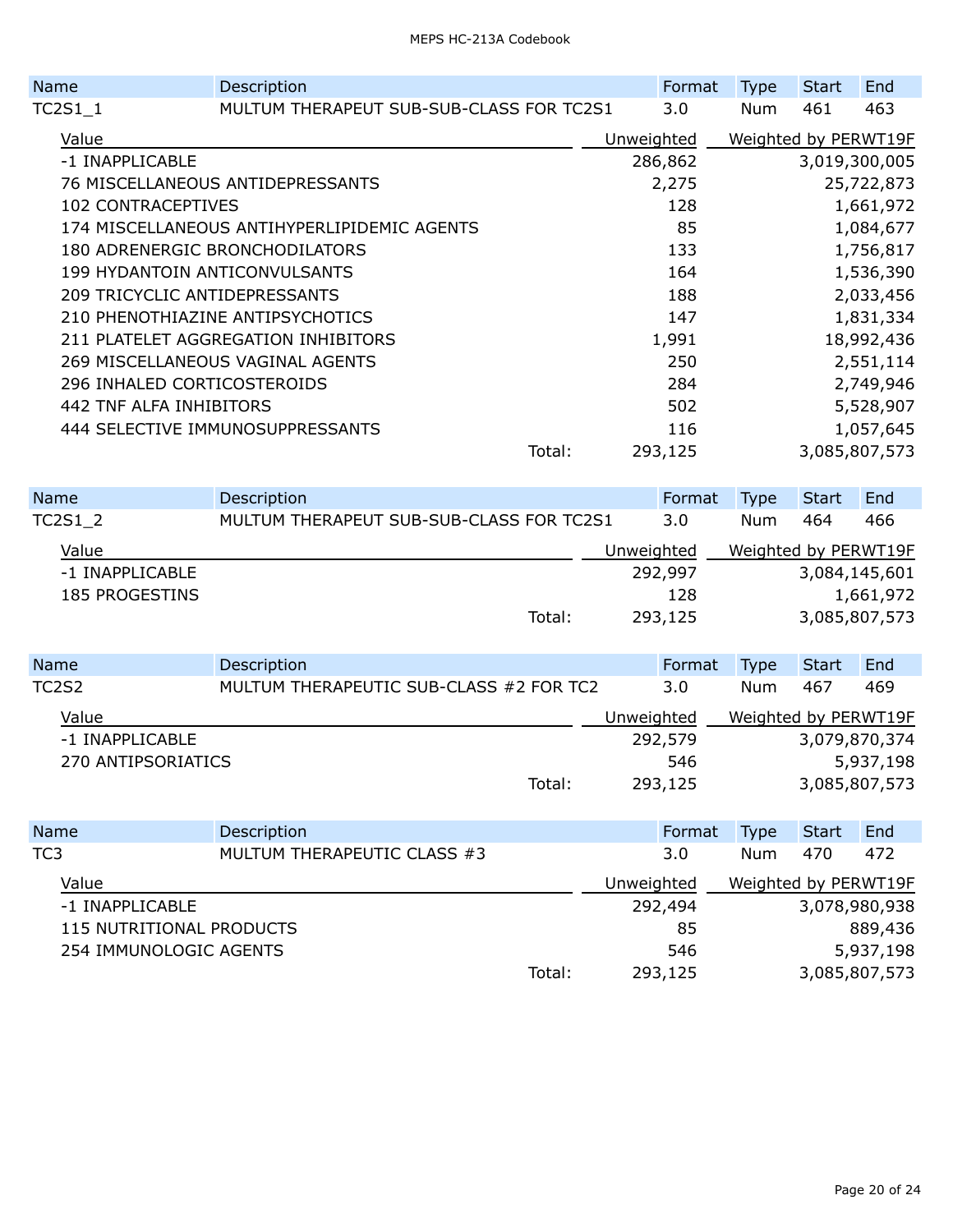| <b>Name</b>                      |                                      | Description                                 |        |            | Format | <b>Type</b>          | <b>Start</b> | End           |  |
|----------------------------------|--------------------------------------|---------------------------------------------|--------|------------|--------|----------------------|--------------|---------------|--|
|                                  | TC2S1 1                              | MULTUM THERAPEUT SUB-SUB-CLASS FOR TC2S1    |        |            | 3.0    | <b>Num</b>           | 461          | 463           |  |
|                                  | Value                                |                                             |        | Unweighted |        | Weighted by PERWT19F |              |               |  |
|                                  | -1 INAPPLICABLE                      |                                             |        | 286,862    |        |                      |              | 3,019,300,005 |  |
|                                  | 76 MISCELLANEOUS ANTIDEPRESSANTS     |                                             |        | 2,275      |        |                      | 25,722,873   |               |  |
|                                  | <b>102 CONTRACEPTIVES</b>            |                                             |        |            | 128    |                      |              | 1,661,972     |  |
|                                  |                                      | 174 MISCELLANEOUS ANTIHYPERLIPIDEMIC AGENTS |        |            | 85     |                      |              | 1,084,677     |  |
|                                  |                                      | 180 ADRENERGIC BRONCHODILATORS              |        |            | 133    |                      |              | 1,756,817     |  |
|                                  | <b>199 HYDANTOIN ANTICONVULSANTS</b> |                                             |        |            | 164    |                      |              | 1,536,390     |  |
|                                  | 209 TRICYCLIC ANTIDEPRESSANTS        |                                             |        |            | 188    |                      |              | 2,033,456     |  |
|                                  |                                      | 210 PHENOTHIAZINE ANTIPSYCHOTICS            |        | 147        |        |                      | 1,831,334    |               |  |
|                                  |                                      | 211 PLATELET AGGREGATION INHIBITORS         |        |            | 1,991  |                      |              | 18,992,436    |  |
|                                  |                                      | 269 MISCELLANEOUS VAGINAL AGENTS            |        |            | 250    |                      |              | 2,551,114     |  |
|                                  | 296 INHALED CORTICOSTEROIDS          |                                             |        |            | 284    |                      |              | 2,749,946     |  |
| 442 TNF ALFA INHIBITORS          |                                      |                                             |        |            | 502    |                      |              | 5,528,907     |  |
| 444 SELECTIVE IMMUNOSUPPRESSANTS |                                      |                                             |        |            | 116    |                      |              | 1,057,645     |  |
|                                  |                                      |                                             | Total: | 293,125    |        |                      |              | 3,085,807,573 |  |
|                                  |                                      |                                             |        |            |        |                      |              |               |  |

| <b>Name</b>    |                 | Description                              |            | Format  | <b>Type</b>          | <b>Start</b> | End           |
|----------------|-----------------|------------------------------------------|------------|---------|----------------------|--------------|---------------|
| <b>TC2S1 2</b> |                 | MULTUM THERAPEUT SUB-SUB-CLASS FOR TC2S1 |            | 3.0     | <b>Num</b>           | 464          | 466           |
| Value          |                 |                                          | Unweighted |         | Weighted by PERWT19F |              |               |
|                | -1 INAPPLICABLE |                                          |            | 292,997 |                      |              | 3,084,145,601 |
| 185 PROGESTINS |                 |                                          |            | 128     |                      |              | 1,661,972     |
|                |                 | Total:                                   |            | 293,125 |                      |              | 3,085,807,573 |

| Name         |                    | Description                             |            | Format  | <b>Type</b>          | Start | End           |
|--------------|--------------------|-----------------------------------------|------------|---------|----------------------|-------|---------------|
| <b>TC2S2</b> |                    | MULTUM THERAPEUTIC SUB-CLASS #2 FOR TC2 |            | 3.0     | <b>Num</b>           | 467   | 469           |
|              | Value              |                                         | Unweighted |         | Weighted by PERWT19F |       |               |
|              | -1 INAPPLICABLE    |                                         |            | 292,579 |                      |       | 3,079,870,374 |
|              | 270 ANTIPSORIATICS |                                         |            | 546     |                      |       | 5,937,198     |
|              |                    | Total:                                  |            | 293,125 |                      |       | 3,085,807,573 |

| Name                     | Description                 |        | Format     | Type       | Start | End                  |
|--------------------------|-----------------------------|--------|------------|------------|-------|----------------------|
| TC <sub>3</sub>          | MULTUM THERAPEUTIC CLASS #3 |        | 3.0        | <b>Num</b> | 470   | 472                  |
| Value                    |                             |        | Unweighted |            |       | Weighted by PERWT19F |
| -1 INAPPLICABLE          |                             |        | 292,494    |            |       | 3,078,980,938        |
| 115 NUTRITIONAL PRODUCTS |                             |        | 85         |            |       | 889,436              |
| 254 IMMUNOLOGIC AGENTS   |                             |        | 546        |            |       | 5,937,198            |
|                          |                             | Total: | 293,125    |            |       | 3,085,807,573        |
|                          |                             |        |            |            |       |                      |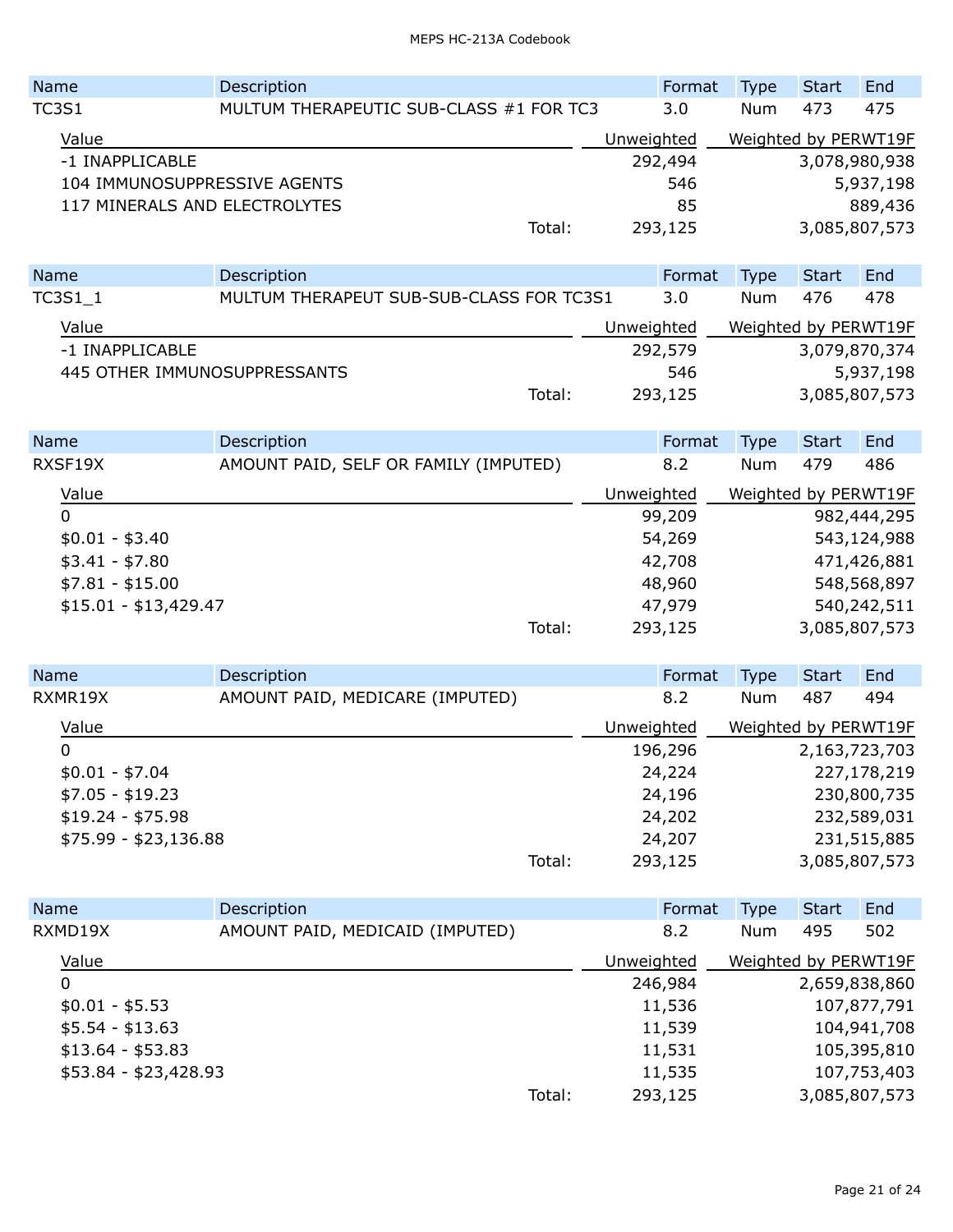| Name                          | Description                              | Format | <b>Type</b> | <b>Start</b> | End                  |                      |  |
|-------------------------------|------------------------------------------|--------|-------------|--------------|----------------------|----------------------|--|
| <b>TC3S1</b>                  | MULTUM THERAPEUTIC SUB-CLASS #1 FOR TC3  |        | 3.0         | <b>Num</b>   | 473                  | 475                  |  |
| Value                         |                                          |        | Unweighted  |              | Weighted by PERWT19F |                      |  |
| -1 INAPPLICABLE               |                                          |        | 292,494     |              |                      | 3,078,980,938        |  |
| 104 IMMUNOSUPPRESSIVE AGENTS  |                                          |        | 546         |              |                      | 5,937,198            |  |
| 117 MINERALS AND ELECTROLYTES |                                          |        | 85          |              |                      | 889,436              |  |
|                               |                                          | Total: | 293,125     |              |                      | 3,085,807,573        |  |
| Name                          | Description                              |        | Format      | <b>Type</b>  | <b>Start</b>         | End                  |  |
| TC3S1_1                       | MULTUM THERAPEUT SUB-SUB-CLASS FOR TC3S1 |        | 3.0         | Num          | 476                  | 478                  |  |
| Value                         |                                          |        | Unweighted  |              |                      | Weighted by PERWT19F |  |
| -1 INAPPLICABLE               |                                          |        | 292,579     |              |                      | 3,079,870,374        |  |
| 445 OTHER IMMUNOSUPPRESSANTS  |                                          |        | 546         |              |                      | 5,937,198            |  |
|                               |                                          | Total: | 293,125     |              |                      | 3,085,807,573        |  |
|                               |                                          |        |             |              |                      |                      |  |
| Name                          | Description                              |        | Format      | <b>Type</b>  | <b>Start</b>         | End                  |  |
| RXSF19X                       | AMOUNT PAID, SELF OR FAMILY (IMPUTED)    |        | 8.2         | Num          | 479                  | 486                  |  |
| Value                         |                                          |        | Unweighted  |              |                      | Weighted by PERWT19F |  |
| $\Omega$                      |                                          |        | 99,209      |              |                      | 982,444,295          |  |
| $$0.01 - $3.40$               |                                          |        | 54,269      |              |                      | 543,124,988          |  |
| $$3.41 - $7.80$               |                                          |        | 42,708      |              |                      | 471,426,881          |  |
| $$7.81 - $15.00$              |                                          |        | 48,960      |              |                      | 548,568,897          |  |
| $$15.01 - $13,429.47$         |                                          |        | 47,979      |              |                      | 540,242,511          |  |
|                               |                                          | Total: | 293,125     |              |                      | 3,085,807,573        |  |
| Name                          | Description                              |        | Format      | <b>Type</b>  | <b>Start</b>         | End                  |  |
| RXMR19X                       | AMOUNT PAID, MEDICARE (IMPUTED)          |        | 8.2         | <b>Num</b>   | 487                  | 494                  |  |
| Value                         |                                          |        | Unweighted  |              |                      | Weighted by PERWT19F |  |
| 0                             |                                          |        | 196,296     |              |                      | 2,163,723,703        |  |
| \$0.01 - \$7.04               |                                          |        | 24,224      |              |                      | 227,178,219          |  |
| $$7.05 - $19.23$              |                                          |        | 24,196      |              |                      | 230,800,735          |  |
| $$19.24 - $75.98$             |                                          |        | 24,202      |              |                      | 232,589,031          |  |
| $$75.99 - $23,136.88$         |                                          |        | 24,207      |              |                      | 231,515,885          |  |
|                               |                                          | Total: | 293,125     |              |                      | 3,085,807,573        |  |
| Name                          | Description                              |        | Format      | <b>Type</b>  | <b>Start</b>         | End                  |  |
| RXMD19X                       | AMOUNT PAID, MEDICAID (IMPUTED)          |        | 8.2         | Num          | 495                  | 502                  |  |
| Value                         |                                          |        | Unweighted  |              |                      | Weighted by PERWT19F |  |
| $\mathbf{0}$                  |                                          |        | 246,984     |              |                      | 2,659,838,860        |  |
| $$0.01 - $5.53$               |                                          |        | 11,536      |              |                      | 107,877,791          |  |
| $$5.54 - $13.63$              |                                          |        | 11,539      |              | 104,941,708          |                      |  |
| $$13.64 - $53.83$             | 11,531                                   |        |             | 105,395,810  |                      |                      |  |
| \$53.84 - \$23,428.93         |                                          |        | 11,535      |              |                      | 107,753,403          |  |

Total: 293,125 3,085,807,573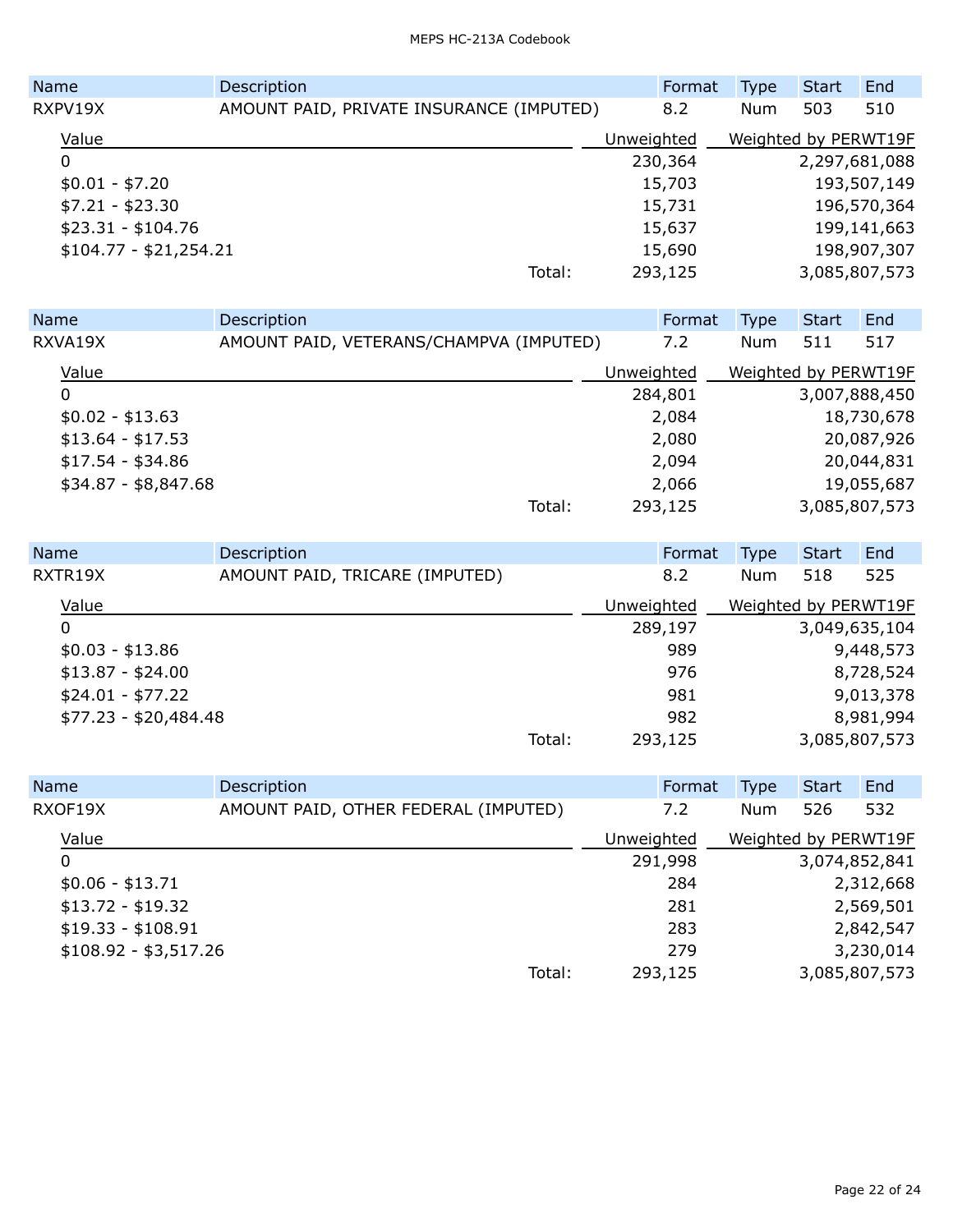| <b>Name</b>            | Description                              | Format     | <b>Type</b>          | Start       | End           |
|------------------------|------------------------------------------|------------|----------------------|-------------|---------------|
| RXPV19X                | AMOUNT PAID, PRIVATE INSURANCE (IMPUTED) | 8.2        | <b>Num</b>           | 503         | 510           |
| Value                  |                                          | Unweighted | Weighted by PERWT19F |             |               |
| 0                      |                                          | 230,364    |                      |             | 2,297,681,088 |
| $$0.01 - $7.20$        |                                          | 15,703     |                      |             | 193,507,149   |
| $$7.21 - $23.30$       |                                          | 15,731     |                      | 196,570,364 |               |
| $$23.31 - $104.76$     |                                          | 15,637     |                      |             | 199,141,663   |
| $$104.77 - $21,254.21$ |                                          | 15,690     |                      |             | 198,907,307   |
|                        | Total:                                   | 293,125    |                      |             | 3,085,807,573 |

| Name                 | Description                             |            | Format  | <b>Type</b>          | <b>Start</b> | End           |
|----------------------|-----------------------------------------|------------|---------|----------------------|--------------|---------------|
| RXVA19X              | AMOUNT PAID, VETERANS/CHAMPVA (IMPUTED) |            | 7.2     | Num                  | 511          | 517           |
| Value                |                                         | Unweighted |         | Weighted by PERWT19F |              |               |
| 0                    |                                         |            | 284,801 |                      |              | 3,007,888,450 |
| $$0.02 - $13.63$     |                                         | 2,084      |         |                      |              | 18,730,678    |
| $$13.64 - $17.53$    |                                         |            | 2,080   |                      | 20,087,926   |               |
| $$17.54 - $34.86$    |                                         |            | 2,094   |                      |              | 20,044,831    |
| $$34.87 - $8,847.68$ |                                         |            | 2,066   |                      |              | 19,055,687    |
|                      | Total:                                  |            | 293,125 |                      |              | 3,085,807,573 |

| Name                  | Description                    |        |            | Format  | <b>Type</b>          | Start | End           |
|-----------------------|--------------------------------|--------|------------|---------|----------------------|-------|---------------|
| RXTR19X               | AMOUNT PAID, TRICARE (IMPUTED) |        |            | 8.2     | Num                  | 518   | 525           |
| Value                 |                                |        | Unweighted |         | Weighted by PERWT19F |       |               |
| 0                     |                                |        |            | 289,197 |                      |       | 3,049,635,104 |
| $$0.03 - $13.86$      |                                |        |            | 989     |                      |       | 9,448,573     |
| $$13.87 - $24.00$     |                                |        |            | 976     |                      |       | 8,728,524     |
| $$24.01 - $77.22$     |                                |        |            | 981     |                      |       | 9,013,378     |
| $$77.23 - $20,484.48$ |                                |        |            | 982     |                      |       | 8,981,994     |
|                       |                                | Total: |            | 293,125 |                      |       | 3,085,807,573 |

| Name                  | Description                          |            | Format  | Type                 | <b>Start</b>  | End       |
|-----------------------|--------------------------------------|------------|---------|----------------------|---------------|-----------|
| RXOF19X               | AMOUNT PAID, OTHER FEDERAL (IMPUTED) |            | 7.2     | Num                  | 526           | 532       |
| Value                 |                                      | Unweighted |         | Weighted by PERWT19F |               |           |
| 0                     |                                      |            | 291,998 |                      | 3,074,852,841 |           |
| $$0.06 - $13.71$      |                                      |            | 284     |                      |               | 2,312,668 |
| $$13.72 - $19.32$     |                                      |            | 281     |                      |               | 2,569,501 |
| $$19.33 - $108.91$    |                                      |            | 283     |                      |               | 2,842,547 |
| $$108.92 - $3,517.26$ |                                      |            | 279     |                      |               | 3,230,014 |
|                       | Total:                               |            | 293,125 |                      | 3,085,807,573 |           |
|                       |                                      |            |         |                      |               |           |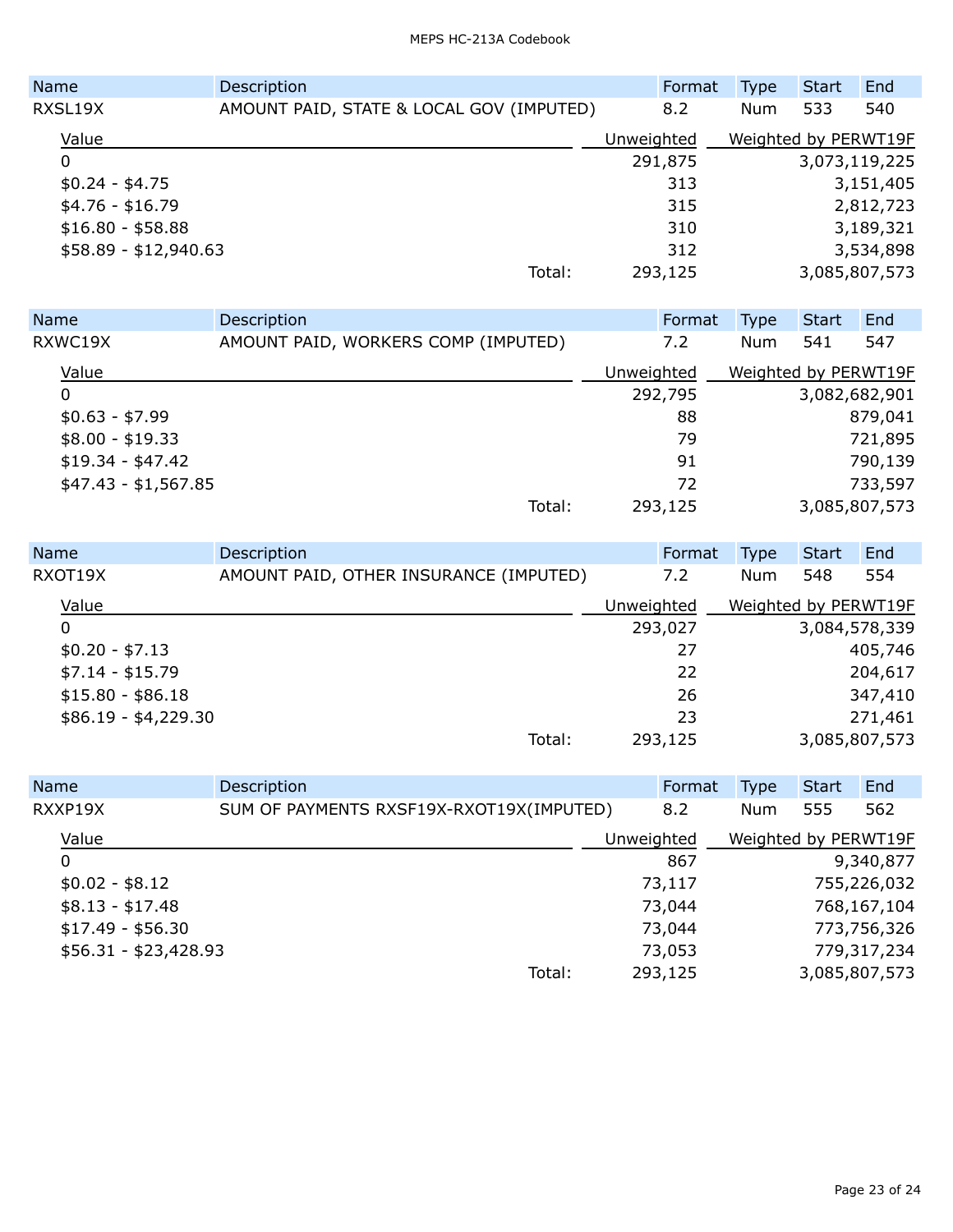| Name                  | Description                              | Format     | <b>Type</b>          | <b>Start</b> | End           |
|-----------------------|------------------------------------------|------------|----------------------|--------------|---------------|
| RXSL19X               | AMOUNT PAID, STATE & LOCAL GOV (IMPUTED) | 8.2        | Num                  | 533          | 540           |
| Value                 |                                          | Unweighted | Weighted by PERWT19F |              |               |
| 0                     |                                          | 291,875    |                      |              | 3,073,119,225 |
| $$0.24 - $4.75$       |                                          | 313        |                      |              | 3,151,405     |
| $$4.76 - $16.79$      |                                          | 315        |                      |              | 2,812,723     |
| $$16.80 - $58.88$     |                                          | 310        |                      |              | 3,189,321     |
| $$58.89 - $12,940.63$ |                                          | 312        |                      |              | 3,534,898     |
|                       | Total:                                   | 293,125    |                      |              | 3,085,807,573 |

| <b>Name</b>          | Description                         |            | Format  | Type                 | <b>Start</b>  | End     |
|----------------------|-------------------------------------|------------|---------|----------------------|---------------|---------|
| RXWC19X              | AMOUNT PAID, WORKERS COMP (IMPUTED) |            | 7.2     | Num                  | 541           | 547     |
| Value                |                                     | Unweighted |         | Weighted by PERWT19F |               |         |
| 0                    |                                     |            | 292,795 |                      | 3,082,682,901 |         |
| $$0.63 - $7.99$      |                                     |            | 88      |                      |               | 879,041 |
| $$8.00 - $19.33$     |                                     |            | 79      |                      |               | 721,895 |
| $$19.34 - $47.42$    |                                     |            | 91      |                      |               | 790,139 |
| $$47.43 - $1,567.85$ |                                     |            | 72      |                      |               | 733,597 |
|                      | Total:                              |            | 293,125 |                      | 3,085,807,573 |         |

| Name                 | Description                            | Format     | <b>Type</b>          | <b>Start</b> | End           |
|----------------------|----------------------------------------|------------|----------------------|--------------|---------------|
| RXOT19X              | AMOUNT PAID, OTHER INSURANCE (IMPUTED) | 7.2        | Num                  | 548          | 554           |
| Value                |                                        | Unweighted | Weighted by PERWT19F |              |               |
| 0                    |                                        | 293,027    |                      |              | 3,084,578,339 |
| $$0.20 - $7.13$      |                                        | 27         |                      |              | 405,746       |
| $$7.14 - $15.79$     |                                        | 22         |                      |              | 204,617       |
| $$15.80 - $86.18$    |                                        | 26         |                      |              | 347,410       |
| $$86.19 - $4,229.30$ |                                        | 23         |                      |              | 271,461       |
|                      | Total:                                 | 293,125    |                      |              | 3,085,807,573 |

| <b>Name</b> |                       | Description                              |            | Format  | <b>Type</b>          | <b>Start</b> | End           |
|-------------|-----------------------|------------------------------------------|------------|---------|----------------------|--------------|---------------|
|             | RXXP19X               | SUM OF PAYMENTS RXSF19X-RXOT19X(IMPUTED) |            | 8.2     | Num                  | 555          | 562           |
|             | Value                 |                                          | Unweighted |         | Weighted by PERWT19F |              |               |
|             | 0                     |                                          |            | 867     |                      |              | 9,340,877     |
|             | $$0.02 - $8.12$       |                                          |            | 73,117  |                      |              | 755,226,032   |
|             | $$8.13 - $17.48$      |                                          |            | 73,044  |                      |              | 768,167,104   |
|             | $$17.49 - $56.30$     |                                          |            | 73,044  |                      |              | 773,756,326   |
|             | $$56.31 - $23,428.93$ |                                          |            | 73,053  |                      |              | 779,317,234   |
|             |                       | Total:                                   |            | 293,125 |                      |              | 3,085,807,573 |
|             |                       |                                          |            |         |                      |              |               |